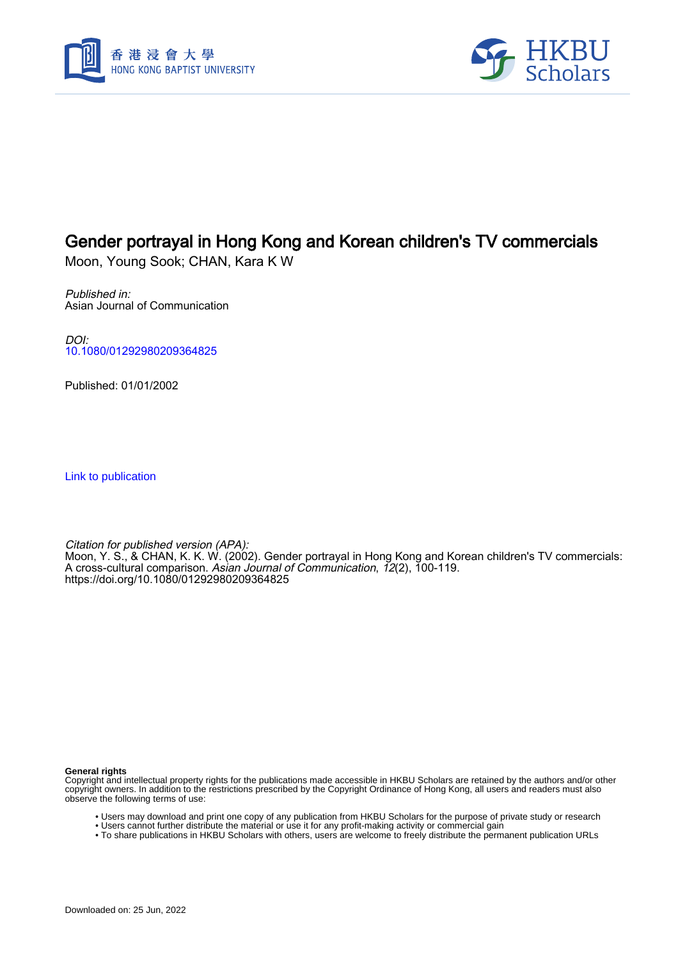



# Gender portrayal in Hong Kong and Korean children's TV commercials

Moon, Young Sook; CHAN, Kara K W

Published in: Asian Journal of Communication

DOI: [10.1080/01292980209364825](https://doi.org/10.1080/01292980209364825)

Published: 01/01/2002

[Link to publication](https://scholars.hkbu.edu.hk/en/publications/7050124c-0417-4610-9430-79fd5878ecd0)

Citation for published version (APA): Moon, Y. S., & CHAN, K. K. W. (2002). Gender portrayal in Hong Kong and Korean children's TV commercials: A cross-cultural comparison. *Asian Journal of Communication, 12*(2), 100-119. <https://doi.org/10.1080/01292980209364825>

**General rights**

Copyright and intellectual property rights for the publications made accessible in HKBU Scholars are retained by the authors and/or other copyright owners. In addition to the restrictions prescribed by the Copyright Ordinance of Hong Kong, all users and readers must also observe the following terms of use:

- Users may download and print one copy of any publication from HKBU Scholars for the purpose of private study or research
- Users cannot further distribute the material or use it for any profit-making activity or commercial gain
- To share publications in HKBU Scholars with others, users are welcome to freely distribute the permanent publication URLs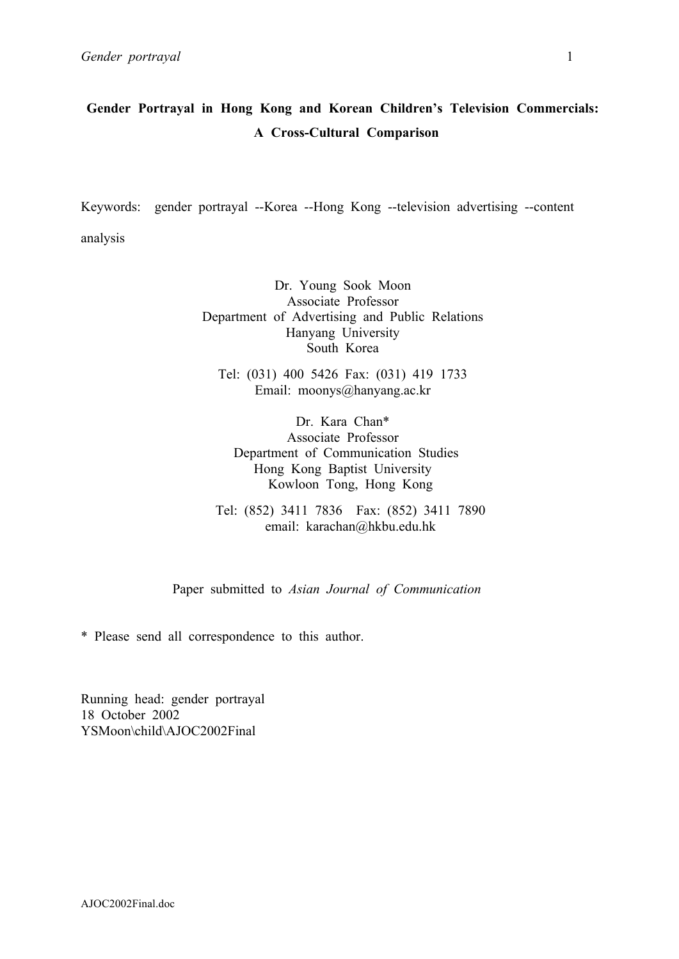# **Gender Portrayal in Hong Kong and Korean Children's Television Commercials: A Cross-Cultural Comparison**

Keywords: gender portrayal --Korea --Hong Kong --television advertising --content analysis

> Dr. Young Sook Moon Associate Professor Department of Advertising and Public Relations Hanyang University South Korea

Tel: (031) 400 5426 Fax: (031) 419 1733 Email: moonys@hanyang.ac.kr

Dr. Kara Chan\* Associate Professor Department of Communication Studies Hong Kong Baptist University Kowloon Tong, Hong Kong

Tel: (852) 3411 7836 Fax: (852) 3411 7890 email: karachan@hkbu.edu.hk

Paper submitted to *Asian Journal of Communication*

\* Please send all correspondence to this author.

Running head: gender portrayal 18 October 2002 YSMoon\child\AJOC2002Final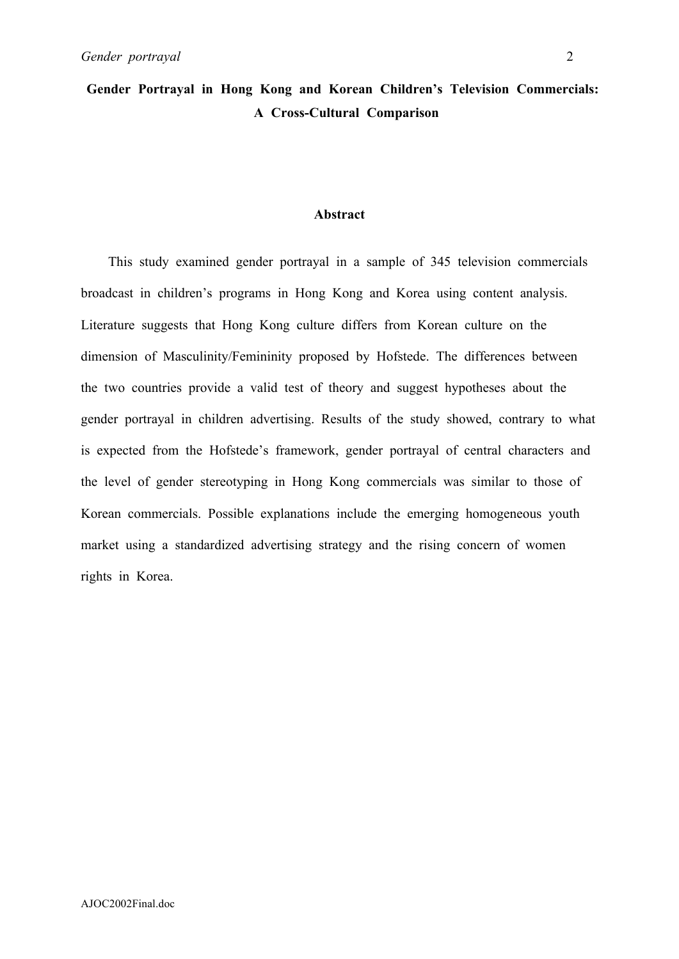# **Gender Portrayal in Hong Kong and Korean Children's Television Commercials: A Cross-Cultural Comparison**

#### **Abstract**

 This study examined gender portrayal in a sample of 345 television commercials broadcast in children's programs in Hong Kong and Korea using content analysis. Literature suggests that Hong Kong culture differs from Korean culture on the dimension of Masculinity/Femininity proposed by Hofstede. The differences between the two countries provide a valid test of theory and suggest hypotheses about the gender portrayal in children advertising. Results of the study showed, contrary to what is expected from the Hofstede's framework, gender portrayal of central characters and the level of gender stereotyping in Hong Kong commercials was similar to those of Korean commercials. Possible explanations include the emerging homogeneous youth market using a standardized advertising strategy and the rising concern of women rights in Korea.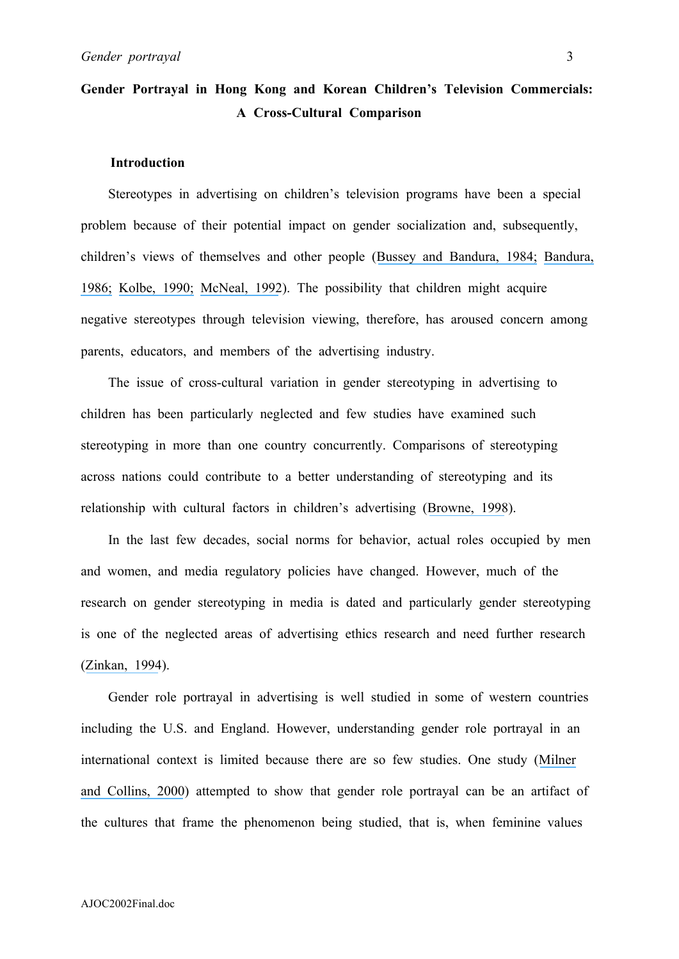# **Gender Portrayal in Hong Kong and Korean Children's Television Commercials: A Cross-Cultural Comparison**

### **Introduction**

Stereotypes in advertising on children's television programs have been a special problem because of their potential impact on gender socialization and, subsequently, children's views of themselves and other people ([Bussey and Bandura, 1984;](https://www.researchgate.net/publication/16669523_Influence_of_Gender_Constancy_and_Social_Power_on_Sex-Linked_Modeling?el=1_x_8&enrichId=rgreq-21f3488f6d9c24cf826ed6bebaae5ef2-XXX&enrichSource=Y292ZXJQYWdlOzIzMzA1NjY0OTtBUzo0NDM4ODYwNzkzNTI4MzJAMTQ4Mjg0MjA5NjQyNw==) [Bandura,](https://www.researchgate.net/publication/233820393_Social_Foundations_of_Thought_Action_A_Social_Cognitive_Theory?el=1_x_8&enrichId=rgreq-21f3488f6d9c24cf826ed6bebaae5ef2-XXX&enrichSource=Y292ZXJQYWdlOzIzMzA1NjY0OTtBUzo0NDM4ODYwNzkzNTI4MzJAMTQ4Mjg0MjA5NjQyNw==)  [1986;](https://www.researchgate.net/publication/233820393_Social_Foundations_of_Thought_Action_A_Social_Cognitive_Theory?el=1_x_8&enrichId=rgreq-21f3488f6d9c24cf826ed6bebaae5ef2-XXX&enrichSource=Y292ZXJQYWdlOzIzMzA1NjY0OTtBUzo0NDM4ODYwNzkzNTI4MzJAMTQ4Mjg0MjA5NjQyNw==) [Kolbe, 1990;](https://www.researchgate.net/publication/233080209_Gender_Roles_in_Children) [McNeal, 1992](https://www.researchgate.net/publication/246605301_Kids_as_Customers_A_Handbook_of_Marketing_to_Children?el=1_x_8&enrichId=rgreq-21f3488f6d9c24cf826ed6bebaae5ef2-XXX&enrichSource=Y292ZXJQYWdlOzIzMzA1NjY0OTtBUzo0NDM4ODYwNzkzNTI4MzJAMTQ4Mjg0MjA5NjQyNw==)). The possibility that children might acquire negative stereotypes through television viewing, therefore, has aroused concern among parents, educators, and members of the advertising industry.

The issue of cross-cultural variation in gender stereotyping in advertising to children has been particularly neglected and few studies have examined such stereotyping in more than one country concurrently. Comparisons of stereotyping across nations could contribute to a better understanding of stereotyping and its relationship with cultural factors in children's advertising ([Browne, 1998](https://www.researchgate.net/publication/261624671_Gender_Stereotypes_in_Advertising_on_Children)).

 In the last few decades, social norms for behavior, actual roles occupied by men and women, and media regulatory policies have changed. However, much of the research on gender stereotyping in media is dated and particularly gender stereotyping is one of the neglected areas of advertising ethics research and need further research ([Zinkan, 1994](https://www.researchgate.net/publication/261644449_Advertising_Ethics_Emerging_Methods_and_Trends?el=1_x_8&enrichId=rgreq-21f3488f6d9c24cf826ed6bebaae5ef2-XXX&enrichSource=Y292ZXJQYWdlOzIzMzA1NjY0OTtBUzo0NDM4ODYwNzkzNTI4MzJAMTQ4Mjg0MjA5NjQyNw==)).

Gender role portrayal in advertising is well studied in some of western countries including the U.S. and England. However, understanding gender role portrayal in an international context is limited because there are so few studies. One study ([Milner](https://www.researchgate.net/publication/233894676_Sex-Role_Portrayals_and_the_Gender_of_Nations?el=1_x_8&enrichId=rgreq-21f3488f6d9c24cf826ed6bebaae5ef2-XXX&enrichSource=Y292ZXJQYWdlOzIzMzA1NjY0OTtBUzo0NDM4ODYwNzkzNTI4MzJAMTQ4Mjg0MjA5NjQyNw==) [and Collins, 2000](https://www.researchgate.net/publication/233894676_Sex-Role_Portrayals_and_the_Gender_of_Nations?el=1_x_8&enrichId=rgreq-21f3488f6d9c24cf826ed6bebaae5ef2-XXX&enrichSource=Y292ZXJQYWdlOzIzMzA1NjY0OTtBUzo0NDM4ODYwNzkzNTI4MzJAMTQ4Mjg0MjA5NjQyNw==)) attempted to show that gender role portrayal can be an artifact of the cultures that frame the phenomenon being studied, that is, when feminine values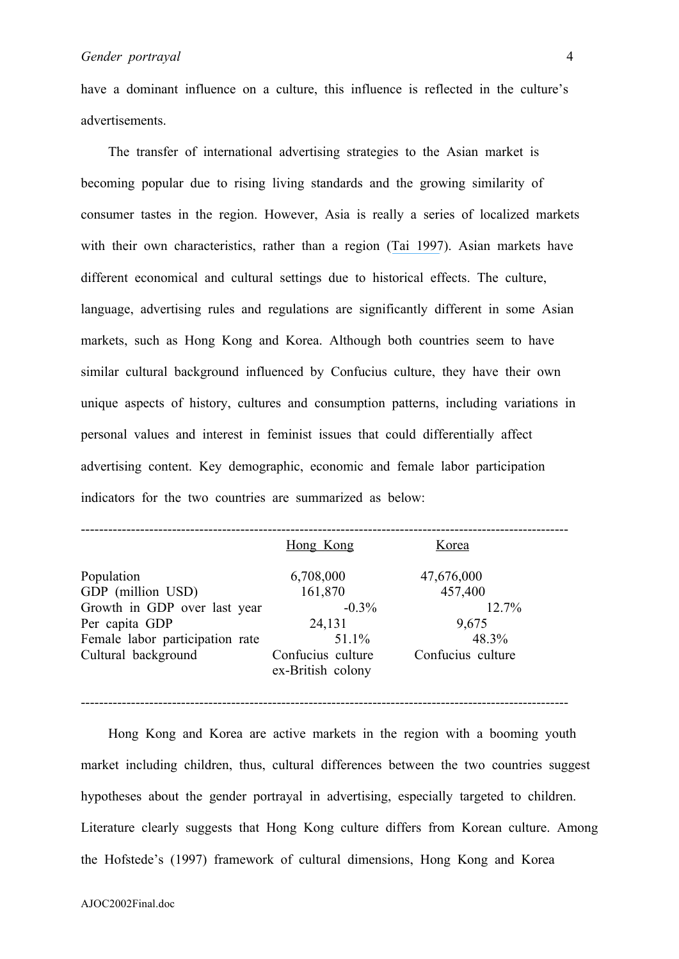have a dominant influence on a culture, this influence is reflected in the culture's advertisements.

The transfer of international advertising strategies to the Asian market is becoming popular due to rising living standards and the growing similarity of consumer tastes in the region. However, Asia is really a series of localized markets with their own characteristics, rather than a region ([Tai 1997](https://www.researchgate.net/publication/229908679_Advertising_in_Asia_Localize_or_Regionalize?el=1_x_8&enrichId=rgreq-21f3488f6d9c24cf826ed6bebaae5ef2-XXX&enrichSource=Y292ZXJQYWdlOzIzMzA1NjY0OTtBUzo0NDM4ODYwNzkzNTI4MzJAMTQ4Mjg0MjA5NjQyNw==)). Asian markets have different economical and cultural settings due to historical effects. The culture, language, advertising rules and regulations are significantly different in some Asian markets, such as Hong Kong and Korea. Although both countries seem to have similar cultural background influenced by Confucius culture, they have their own unique aspects of history, cultures and consumption patterns, including variations in personal values and interest in feminist issues that could differentially affect advertising content. Key demographic, economic and female labor participation indicators for the two countries are summarized as below:

|                                 | Hong Kong         | Korea             |
|---------------------------------|-------------------|-------------------|
| Population                      | 6,708,000         | 47,676,000        |
| GDP (million USD)               | 161,870           | 457,400           |
| Growth in GDP over last year    | $-0.3\%$          | $12.7\%$          |
| Per capita GDP                  | 24,131            | 9,675             |
| Female labor participation rate | 51.1%             | 48.3%             |
| Cultural background             | Confucius culture | Confucius culture |
|                                 | ex-British colony |                   |
|                                 |                   |                   |

-----------------------------------------------------------------------------------------------------------

 Hong Kong and Korea are active markets in the region with a booming youth market including children, thus, cultural differences between the two countries suggest hypotheses about the gender portrayal in advertising, especially targeted to children. Literature clearly suggests that Hong Kong culture differs from Korean culture. Among the Hofstede's (1997) framework of cultural dimensions, Hong Kong and Korea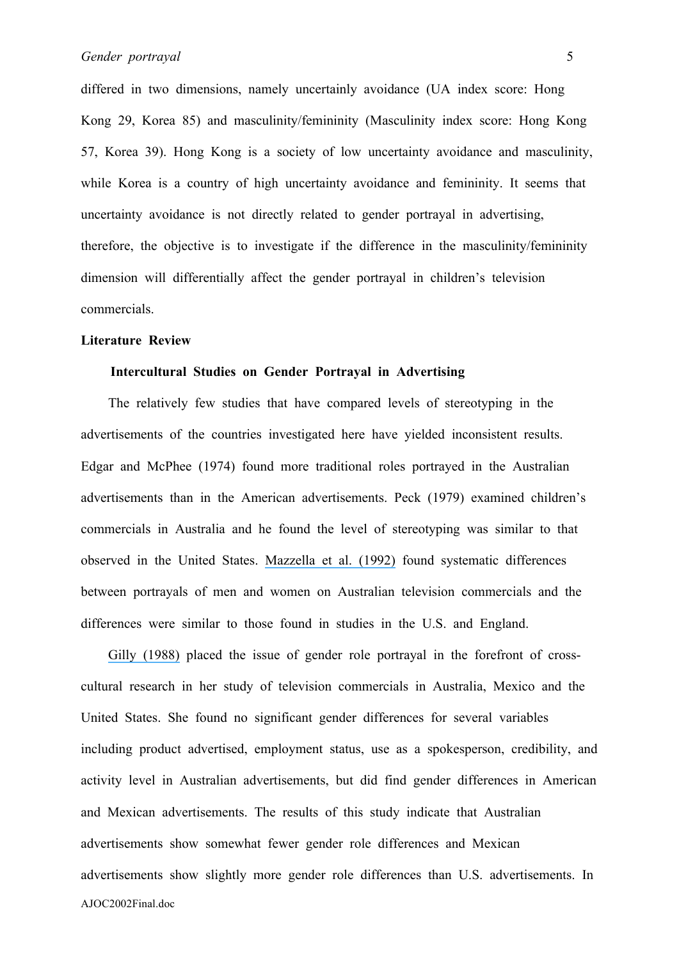differed in two dimensions, namely uncertainly avoidance (UA index score: Hong Kong 29, Korea 85) and masculinity/femininity (Masculinity index score: Hong Kong 57, Korea 39). Hong Kong is a society of low uncertainty avoidance and masculinity, while Korea is a country of high uncertainty avoidance and femininity. It seems that uncertainty avoidance is not directly related to gender portrayal in advertising, therefore, the objective is to investigate if the difference in the masculinity/femininity dimension will differentially affect the gender portrayal in children's television commercials.

#### **Literature Review**

### **Intercultural Studies on Gender Portrayal in Advertising**

 The relatively few studies that have compared levels of stereotyping in the advertisements of the countries investigated here have yielded inconsistent results. Edgar and McPhee (1974) found more traditional roles portrayed in the Australian advertisements than in the American advertisements. Peck (1979) examined children's commercials in Australia and he found the level of stereotyping was similar to that observed in the United States. [Mazzella et al. \(1992\)](https://www.researchgate.net/publication/226081037_Sex_role_stereotyping_in_Australian_television_advertisements?el=1_x_8&enrichId=rgreq-21f3488f6d9c24cf826ed6bebaae5ef2-XXX&enrichSource=Y292ZXJQYWdlOzIzMzA1NjY0OTtBUzo0NDM4ODYwNzkzNTI4MzJAMTQ4Mjg0MjA5NjQyNw==) found systematic differences between portrayals of men and women on Australian television commercials and the differences were similar to those found in studies in the U.S. and England.

AJOC2002Final.doc [Gilly \(1988\)](https://www.researchgate.net/publication/233894731_Sex_Roles_in_Advertising_A_Comparison_of_Television_Advertisements_in_Australia_Mexico_and_the_United_States?el=1_x_8&enrichId=rgreq-21f3488f6d9c24cf826ed6bebaae5ef2-XXX&enrichSource=Y292ZXJQYWdlOzIzMzA1NjY0OTtBUzo0NDM4ODYwNzkzNTI4MzJAMTQ4Mjg0MjA5NjQyNw==) placed the issue of gender role portrayal in the forefront of crosscultural research in her study of television commercials in Australia, Mexico and the United States. She found no significant gender differences for several variables including product advertised, employment status, use as a spokesperson, credibility, and activity level in Australian advertisements, but did find gender differences in American and Mexican advertisements. The results of this study indicate that Australian advertisements show somewhat fewer gender role differences and Mexican advertisements show slightly more gender role differences than U.S. advertisements. In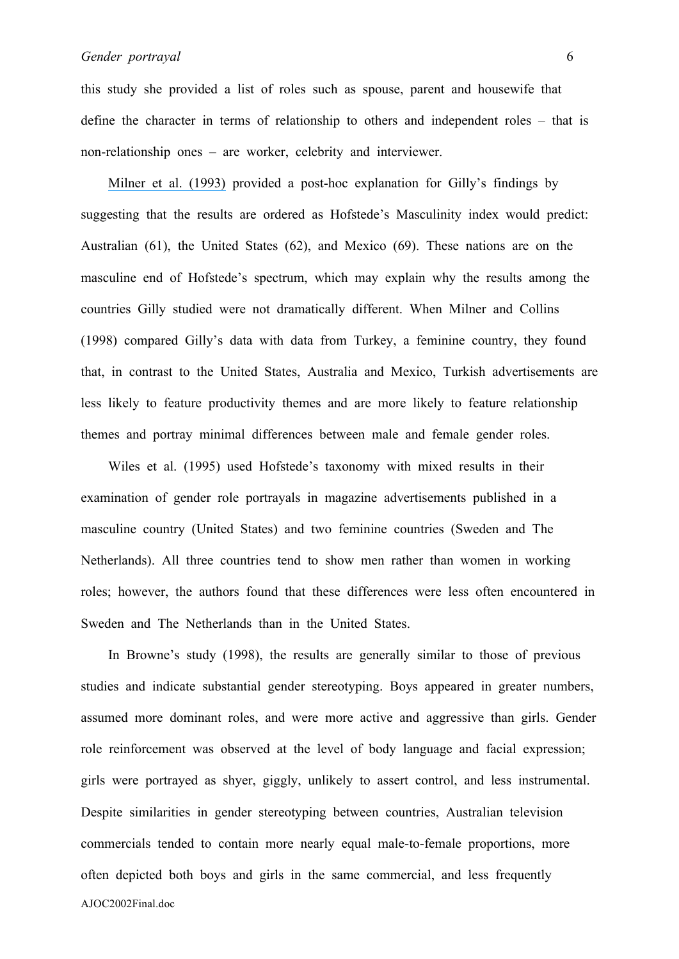this study she provided a list of roles such as spouse, parent and housewife that define the character in terms of relationship to others and independent roles – that is non-relationship ones – are worker, celebrity and interviewer.

 [Milner et al. \(1993\)](https://www.researchgate.net/publication/284052474_Hofstede) provided a post-hoc explanation for Gilly's findings by suggesting that the results are ordered as Hofstede's Masculinity index would predict: Australian (61), the United States (62), and Mexico (69). These nations are on the masculine end of Hofstede's spectrum, which may explain why the results among the countries Gilly studied were not dramatically different. When Milner and Collins (1998) compared Gilly's data with data from Turkey, a feminine country, they found that, in contrast to the United States, Australia and Mexico, Turkish advertisements are less likely to feature productivity themes and are more likely to feature relationship themes and portray minimal differences between male and female gender roles.

 Wiles et al. (1995) used Hofstede's taxonomy with mixed results in their examination of gender role portrayals in magazine advertisements published in a masculine country (United States) and two feminine countries (Sweden and The Netherlands). All three countries tend to show men rather than women in working roles; however, the authors found that these differences were less often encountered in Sweden and The Netherlands than in the United States.

AJOC2002Final.doc In Browne's study (1998), the results are generally similar to those of previous studies and indicate substantial gender stereotyping. Boys appeared in greater numbers, assumed more dominant roles, and were more active and aggressive than girls. Gender role reinforcement was observed at the level of body language and facial expression; girls were portrayed as shyer, giggly, unlikely to assert control, and less instrumental. Despite similarities in gender stereotyping between countries, Australian television commercials tended to contain more nearly equal male-to-female proportions, more often depicted both boys and girls in the same commercial, and less frequently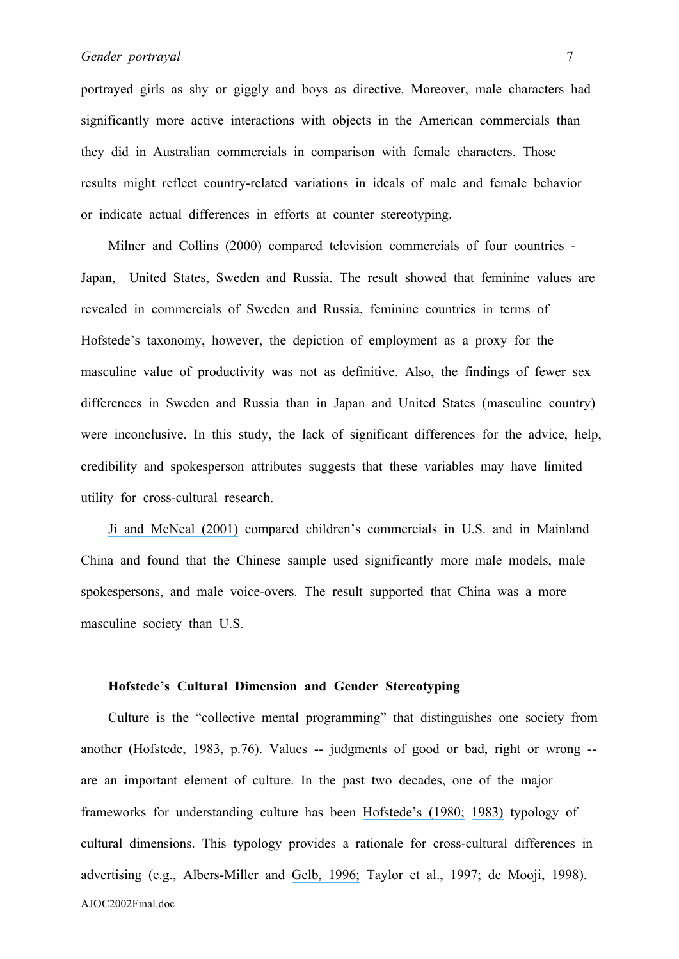portrayed girls as shy or giggly and boys as directive. Moreover, male characters had significantly more active interactions with objects in the American commercials than they did in Australian commercials in comparison with female characters. Those results might reflect country-related variations in ideals of male and female behavior or indicate actual differences in efforts at counter stereotyping.

 Milner and Collins (2000) compared television commercials of four countries - Japan, United States, Sweden and Russia. The result showed that feminine values are revealed in commercials of Sweden and Russia, feminine countries in terms of Hofstede's taxonomy, however, the depiction of employment as a proxy for the masculine value of productivity was not as definitive. Also, the findings of fewer sex differences in Sweden and Russia than in Japan and United States (masculine country) were inconclusive. In this study, the lack of significant differences for the advice, help, credibility and spokesperson attributes suggests that these variables may have limited utility for cross-cultural research.

 [Ji and McNeal \(2001\)](https://www.researchgate.net/publication/233894689_How_Chinese_Children) compared children's commercials in U.S. and in Mainland China and found that the Chinese sample used significantly more male models, male spokespersons, and male voice-overs. The result supported that China was a more masculine society than U.S.

#### **Hofstede's Cultural Dimension and Gender Stereotyping**

AJOC2002Final.doc Culture is the "collective mental programming" that distinguishes one society from another (Hofstede, 1983, p.76). Values -- judgments of good or bad, right or wrong - are an important element of culture. In the past two decades, one of the major frameworks for understanding culture has been [Hofstede's \(1980;](https://www.researchgate.net/publication/201381901_Culture) [1983\)](https://www.researchgate.net/publication/275714552_National_Cultures_in_Four_Dimensions?el=1_x_8&enrichId=rgreq-21f3488f6d9c24cf826ed6bebaae5ef2-XXX&enrichSource=Y292ZXJQYWdlOzIzMzA1NjY0OTtBUzo0NDM4ODYwNzkzNTI4MzJAMTQ4Mjg0MjA5NjQyNw==) typology of cultural dimensions. This typology provides a rationale for cross-cultural differences in advertising (e.g., Albers-Miller and [Gelb, 1996;](https://www.researchgate.net/publication/233894861_Business_Advertising_Appeals_as_a_Mirror_of_Cultural_Dimensions_A_Study_of_Eleven_Countries?el=1_x_8&enrichId=rgreq-21f3488f6d9c24cf826ed6bebaae5ef2-XXX&enrichSource=Y292ZXJQYWdlOzIzMzA1NjY0OTtBUzo0NDM4ODYwNzkzNTI4MzJAMTQ4Mjg0MjA5NjQyNw==) Taylor et al., 1997; de Mooji, 1998).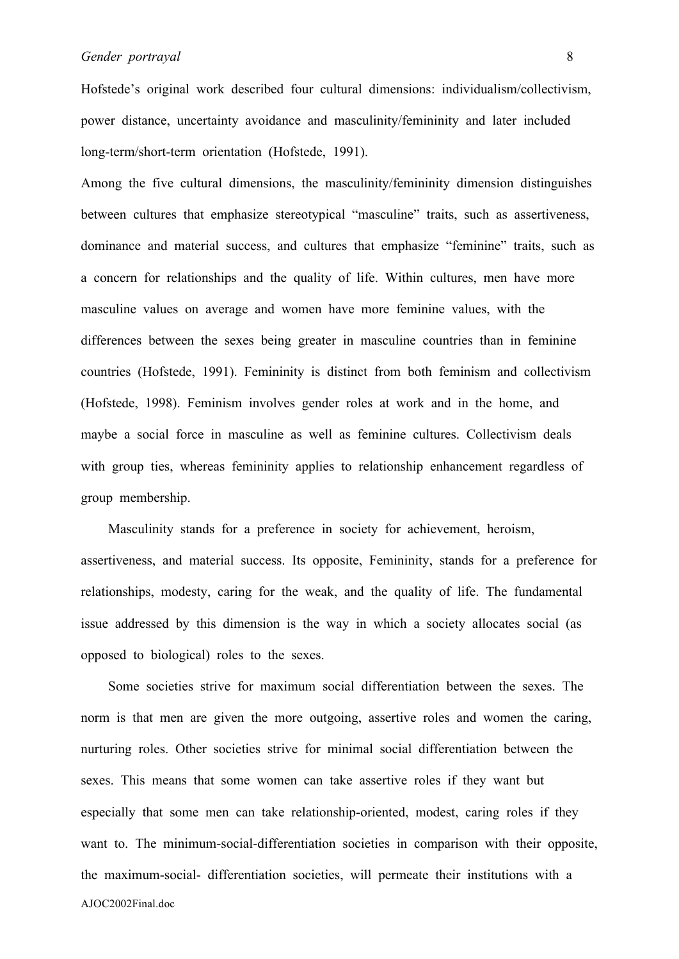Hofstede's original work described four cultural dimensions: individualism/collectivism, power distance, uncertainty avoidance and masculinity/femininity and later included long-term/short-term orientation (Hofstede, 1991).

Among the five cultural dimensions, the masculinity/femininity dimension distinguishes between cultures that emphasize stereotypical "masculine" traits, such as assertiveness, dominance and material success, and cultures that emphasize "feminine" traits, such as a concern for relationships and the quality of life. Within cultures, men have more masculine values on average and women have more feminine values, with the differences between the sexes being greater in masculine countries than in feminine countries (Hofstede, 1991). Femininity is distinct from both feminism and collectivism (Hofstede, 1998). Feminism involves gender roles at work and in the home, and maybe a social force in masculine as well as feminine cultures. Collectivism deals with group ties, whereas femininity applies to relationship enhancement regardless of group membership.

 Masculinity stands for a preference in society for achievement, heroism, assertiveness, and material success. Its opposite, Femininity, stands for a preference for relationships, modesty, caring for the weak, and the quality of life. The fundamental issue addressed by this dimension is the way in which a society allocates social (as opposed to biological) roles to the sexes.

AJOC2002Final.doc Some societies strive for maximum social differentiation between the sexes. The norm is that men are given the more outgoing, assertive roles and women the caring, nurturing roles. Other societies strive for minimal social differentiation between the sexes. This means that some women can take assertive roles if they want but especially that some men can take relationship-oriented, modest, caring roles if they want to. The minimum-social-differentiation societies in comparison with their opposite, the maximum-social- differentiation societies, will permeate their institutions with a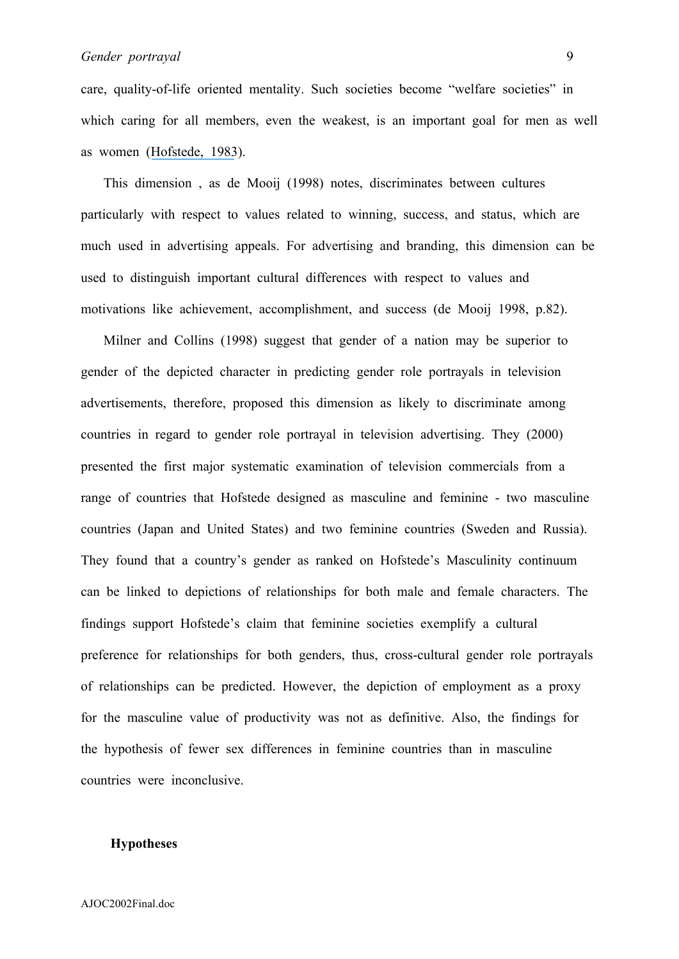care, quality-of-life oriented mentality. Such societies become "welfare societies" in which caring for all members, even the weakest, is an important goal for men as well as women ([Hofstede, 1983](https://www.researchgate.net/publication/275714552_National_Cultures_in_Four_Dimensions?el=1_x_8&enrichId=rgreq-21f3488f6d9c24cf826ed6bebaae5ef2-XXX&enrichSource=Y292ZXJQYWdlOzIzMzA1NjY0OTtBUzo0NDM4ODYwNzkzNTI4MzJAMTQ4Mjg0MjA5NjQyNw==)).

 This dimension , as de Mooij (1998) notes, discriminates between cultures particularly with respect to values related to winning, success, and status, which are much used in advertising appeals. For advertising and branding, this dimension can be used to distinguish important cultural differences with respect to values and motivations like achievement, accomplishment, and success (de Mooij 1998, p.82).

 Milner and Collins (1998) suggest that gender of a nation may be superior to gender of the depicted character in predicting gender role portrayals in television advertisements, therefore, proposed this dimension as likely to discriminate among countries in regard to gender role portrayal in television advertising. They (2000) presented the first major systematic examination of television commercials from a range of countries that Hofstede designed as masculine and feminine - two masculine countries (Japan and United States) and two feminine countries (Sweden and Russia). They found that a country's gender as ranked on Hofstede's Masculinity continuum can be linked to depictions of relationships for both male and female characters. The findings support Hofstede's claim that feminine societies exemplify a cultural preference for relationships for both genders, thus, cross-cultural gender role portrayals of relationships can be predicted. However, the depiction of employment as a proxy for the masculine value of productivity was not as definitive. Also, the findings for the hypothesis of fewer sex differences in feminine countries than in masculine countries were inconclusive.

#### **Hypotheses**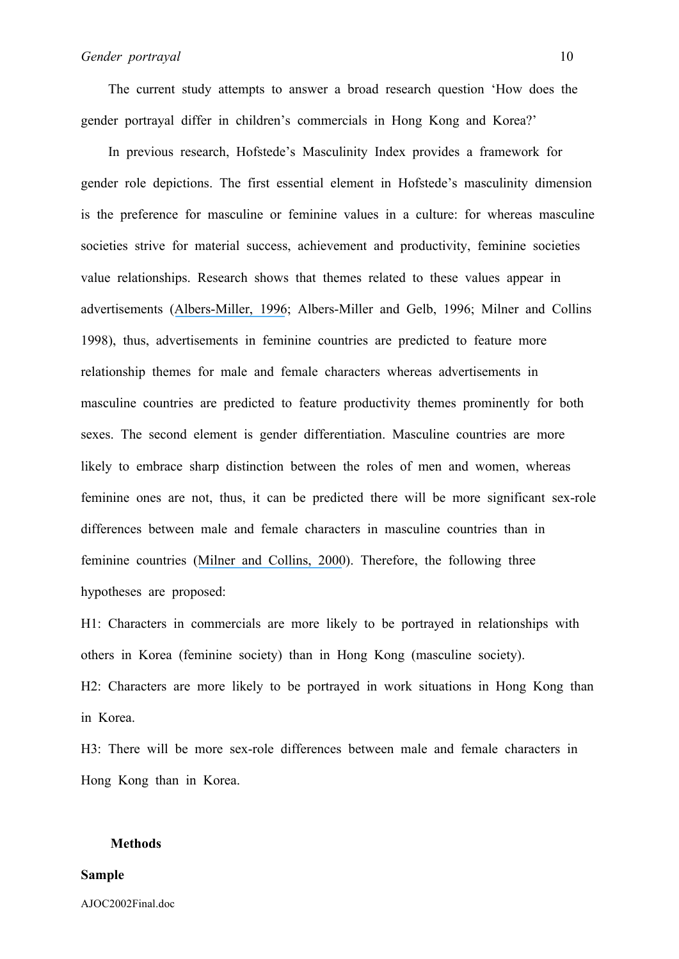The current study attempts to answer a broad research question 'How does the gender portrayal differ in children's commercials in Hong Kong and Korea?'

 In previous research, Hofstede's Masculinity Index provides a framework for gender role depictions. The first essential element in Hofstede's masculinity dimension is the preference for masculine or feminine values in a culture: for whereas masculine societies strive for material success, achievement and productivity, feminine societies value relationships. Research shows that themes related to these values appear in advertisements ([Albers-Miller, 1996](https://www.researchgate.net/publication/233894861_Business_Advertising_Appeals_as_a_Mirror_of_Cultural_Dimensions_A_Study_of_Eleven_Countries?el=1_x_8&enrichId=rgreq-21f3488f6d9c24cf826ed6bebaae5ef2-XXX&enrichSource=Y292ZXJQYWdlOzIzMzA1NjY0OTtBUzo0NDM4ODYwNzkzNTI4MzJAMTQ4Mjg0MjA5NjQyNw==); Albers-Miller and Gelb, 1996; Milner and Collins 1998), thus, advertisements in feminine countries are predicted to feature more relationship themes for male and female characters whereas advertisements in masculine countries are predicted to feature productivity themes prominently for both sexes. The second element is gender differentiation. Masculine countries are more likely to embrace sharp distinction between the roles of men and women, whereas feminine ones are not, thus, it can be predicted there will be more significant sex-role differences between male and female characters in masculine countries than in feminine countries ([Milner and Collins, 2000](https://www.researchgate.net/publication/233894676_Sex-Role_Portrayals_and_the_Gender_of_Nations?el=1_x_8&enrichId=rgreq-21f3488f6d9c24cf826ed6bebaae5ef2-XXX&enrichSource=Y292ZXJQYWdlOzIzMzA1NjY0OTtBUzo0NDM4ODYwNzkzNTI4MzJAMTQ4Mjg0MjA5NjQyNw==)). Therefore, the following three hypotheses are proposed:

H1: Characters in commercials are more likely to be portrayed in relationships with others in Korea (feminine society) than in Hong Kong (masculine society). H2: Characters are more likely to be portrayed in work situations in Hong Kong than in Korea.

H3: There will be more sex-role differences between male and female characters in Hong Kong than in Korea.

#### **Methods**

#### **Sample**

AJOC2002Final.doc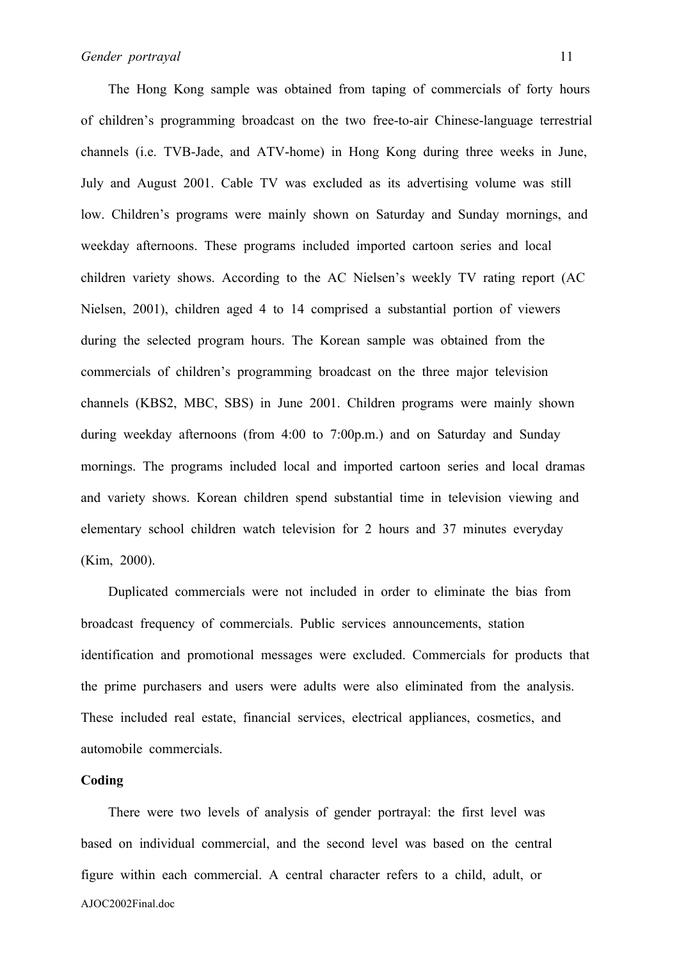The Hong Kong sample was obtained from taping of commercials of forty hours of children's programming broadcast on the two free-to-air Chinese-language terrestrial channels (i.e. TVB-Jade, and ATV-home) in Hong Kong during three weeks in June, July and August 2001. Cable TV was excluded as its advertising volume was still low. Children's programs were mainly shown on Saturday and Sunday mornings, and weekday afternoons. These programs included imported cartoon series and local children variety shows. According to the AC Nielsen's weekly TV rating report (AC Nielsen, 2001), children aged 4 to 14 comprised a substantial portion of viewers during the selected program hours. The Korean sample was obtained from the commercials of children's programming broadcast on the three major television channels (KBS2, MBC, SBS) in June 2001. Children programs were mainly shown during weekday afternoons (from 4:00 to 7:00p.m.) and on Saturday and Sunday mornings. The programs included local and imported cartoon series and local dramas and variety shows. Korean children spend substantial time in television viewing and elementary school children watch television for 2 hours and 37 minutes everyday (Kim, 2000).

 Duplicated commercials were not included in order to eliminate the bias from broadcast frequency of commercials. Public services announcements, station identification and promotional messages were excluded. Commercials for products that the prime purchasers and users were adults were also eliminated from the analysis. These included real estate, financial services, electrical appliances, cosmetics, and automobile commercials.

#### **Coding**

AJOC2002Final.doc There were two levels of analysis of gender portrayal: the first level was based on individual commercial, and the second level was based on the central figure within each commercial. A central character refers to a child, adult, or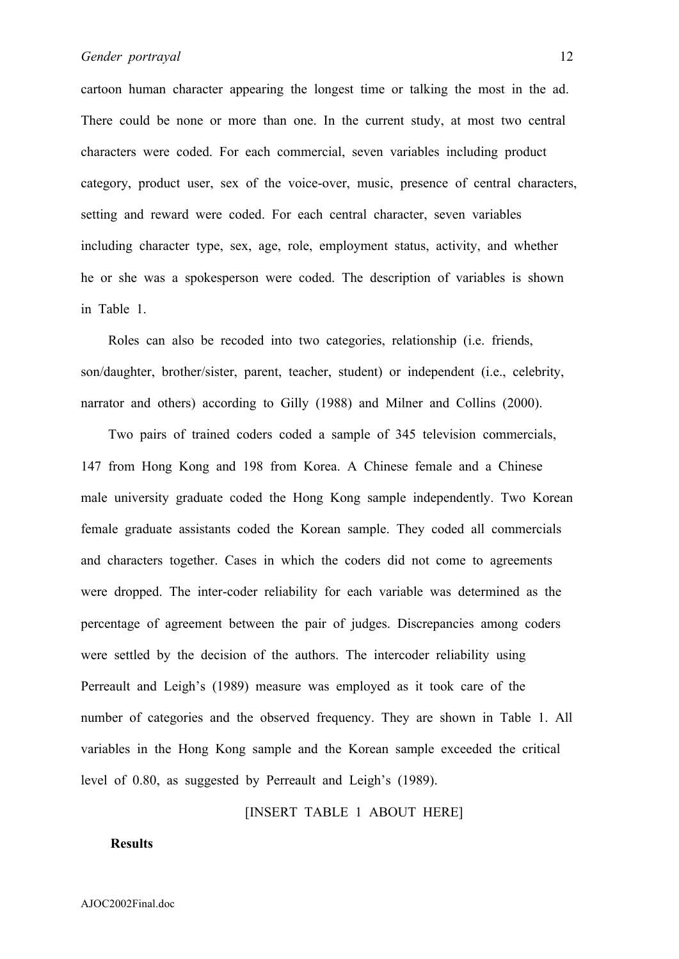cartoon human character appearing the longest time or talking the most in the ad. There could be none or more than one. In the current study, at most two central characters were coded. For each commercial, seven variables including product category, product user, sex of the voice-over, music, presence of central characters, setting and reward were coded. For each central character, seven variables including character type, sex, age, role, employment status, activity, and whether he or she was a spokesperson were coded. The description of variables is shown in Table 1.

 Roles can also be recoded into two categories, relationship (i.e. friends, son/daughter, brother/sister, parent, teacher, student) or independent (i.e., celebrity, narrator and others) according to Gilly (1988) and Milner and Collins (2000).

 Two pairs of trained coders coded a sample of 345 television commercials, 147 from Hong Kong and 198 from Korea. A Chinese female and a Chinese male university graduate coded the Hong Kong sample independently. Two Korean female graduate assistants coded the Korean sample. They coded all commercials and characters together. Cases in which the coders did not come to agreements were dropped. The inter-coder reliability for each variable was determined as the percentage of agreement between the pair of judges. Discrepancies among coders were settled by the decision of the authors. The intercoder reliability using Perreault and Leigh's (1989) measure was employed as it took care of the number of categories and the observed frequency. They are shown in Table 1. All variables in the Hong Kong sample and the Korean sample exceeded the critical level of 0.80, as suggested by Perreault and Leigh's (1989).

#### [INSERT TABLE 1 ABOUT HERE]

#### **Results**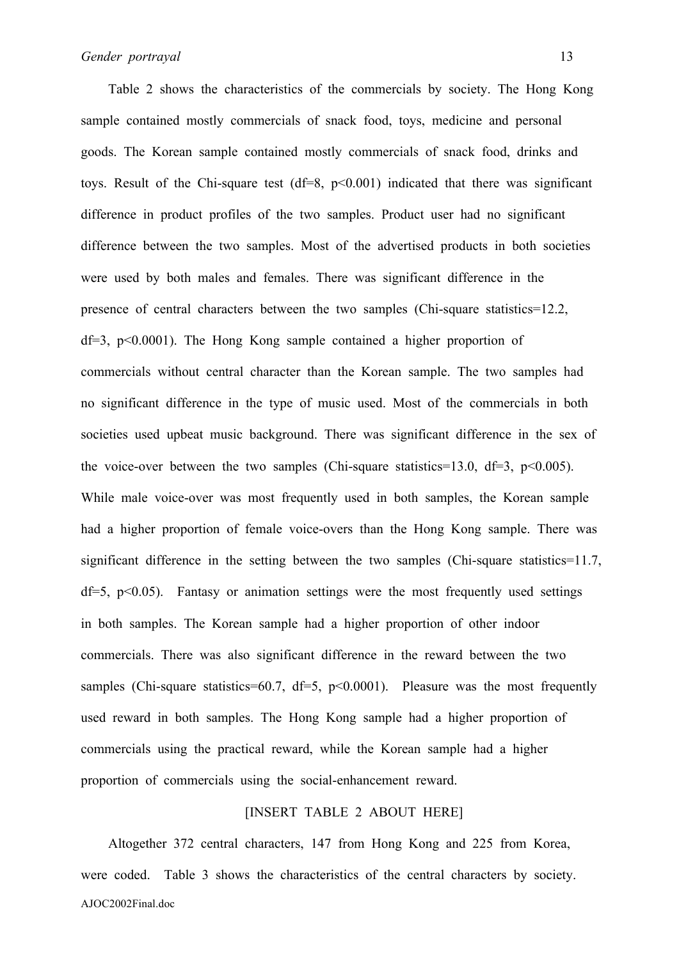Table 2 shows the characteristics of the commercials by society. The Hong Kong sample contained mostly commercials of snack food, toys, medicine and personal goods. The Korean sample contained mostly commercials of snack food, drinks and toys. Result of the Chi-square test  $(df=8, p<0.001)$  indicated that there was significant difference in product profiles of the two samples. Product user had no significant difference between the two samples. Most of the advertised products in both societies were used by both males and females. There was significant difference in the presence of central characters between the two samples (Chi-square statistics=12.2,  $df=3$ ,  $p<0.0001$ ). The Hong Kong sample contained a higher proportion of commercials without central character than the Korean sample. The two samples had no significant difference in the type of music used. Most of the commercials in both societies used upbeat music background. There was significant difference in the sex of the voice-over between the two samples (Chi-square statistics=13.0, df=3, p<0.005). While male voice-over was most frequently used in both samples, the Korean sample had a higher proportion of female voice-overs than the Hong Kong sample. There was significant difference in the setting between the two samples (Chi-square statistics=11.7,  $df=5$ ,  $p<0.05$ ). Fantasy or animation settings were the most frequently used settings in both samples. The Korean sample had a higher proportion of other indoor commercials. There was also significant difference in the reward between the two samples (Chi-square statistics=60.7, df=5,  $p<0.0001$ ). Pleasure was the most frequently used reward in both samples. The Hong Kong sample had a higher proportion of commercials using the practical reward, while the Korean sample had a higher proportion of commercials using the social-enhancement reward.

### [INSERT TABLE 2 ABOUT HERE]

AJOC2002Final.doc Altogether 372 central characters, 147 from Hong Kong and 225 from Korea, were coded. Table 3 shows the characteristics of the central characters by society.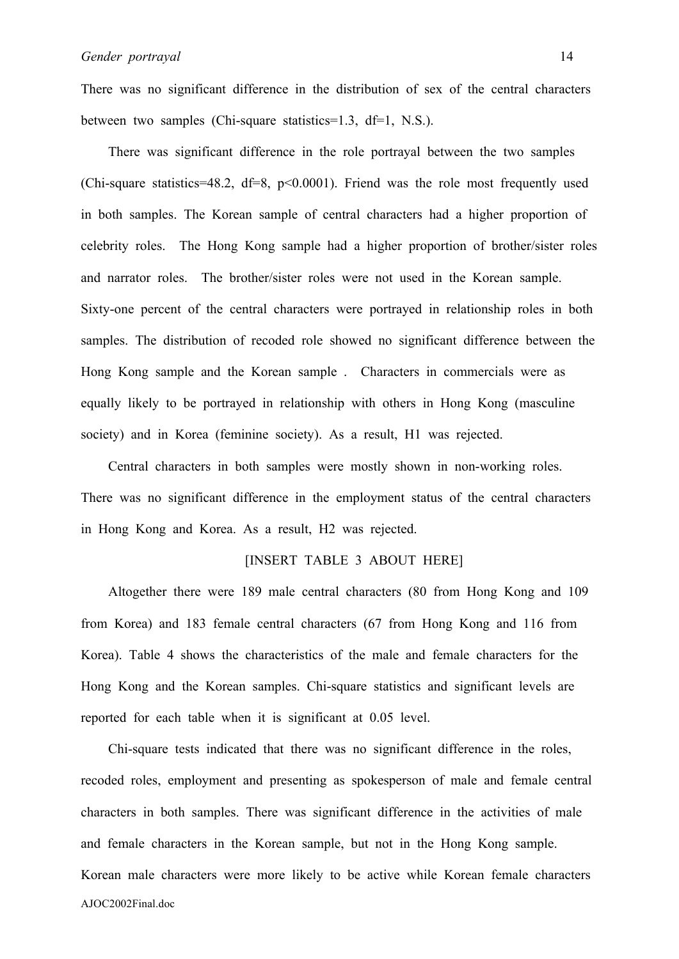There was no significant difference in the distribution of sex of the central characters between two samples (Chi-square statistics=1.3, df=1, N.S.).

 There was significant difference in the role portrayal between the two samples (Chi-square statistics=48.2,  $df=8$ ,  $p<0.0001$ ). Friend was the role most frequently used in both samples. The Korean sample of central characters had a higher proportion of celebrity roles. The Hong Kong sample had a higher proportion of brother/sister roles and narrator roles. The brother/sister roles were not used in the Korean sample. Sixty-one percent of the central characters were portrayed in relationship roles in both samples. The distribution of recoded role showed no significant difference between the Hong Kong sample and the Korean sample . Characters in commercials were as equally likely to be portrayed in relationship with others in Hong Kong (masculine society) and in Korea (feminine society). As a result, H1 was rejected.

 Central characters in both samples were mostly shown in non-working roles. There was no significant difference in the employment status of the central characters in Hong Kong and Korea. As a result, H2 was rejected.

### [INSERT TABLE 3 ABOUT HERE]

 Altogether there were 189 male central characters (80 from Hong Kong and 109 from Korea) and 183 female central characters (67 from Hong Kong and 116 from Korea). Table 4 shows the characteristics of the male and female characters for the Hong Kong and the Korean samples. Chi-square statistics and significant levels are reported for each table when it is significant at 0.05 level.

AJOC2002Final.doc Chi-square tests indicated that there was no significant difference in the roles, recoded roles, employment and presenting as spokesperson of male and female central characters in both samples. There was significant difference in the activities of male and female characters in the Korean sample, but not in the Hong Kong sample. Korean male characters were more likely to be active while Korean female characters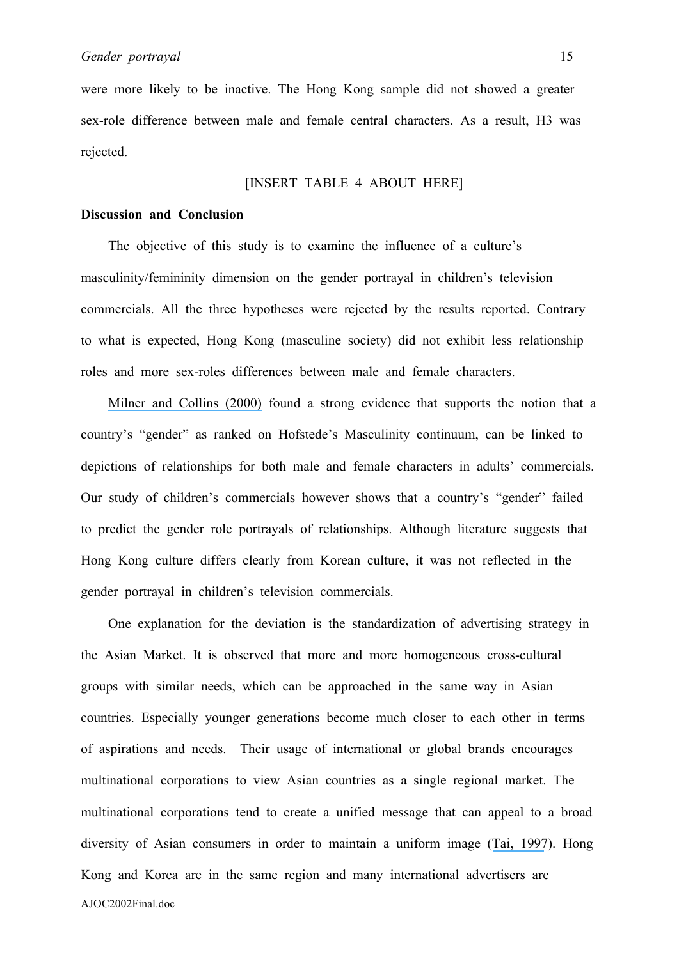were more likely to be inactive. The Hong Kong sample did not showed a greater sex-role difference between male and female central characters. As a result, H3 was rejected.

### [INSERT TABLE 4 ABOUT HERE]

#### **Discussion and Conclusion**

 The objective of this study is to examine the influence of a culture's masculinity/femininity dimension on the gender portrayal in children's television commercials. All the three hypotheses were rejected by the results reported. Contrary to what is expected, Hong Kong (masculine society) did not exhibit less relationship roles and more sex-roles differences between male and female characters.

 [Milner and Collins \(2000\)](https://www.researchgate.net/publication/233894676_Sex-Role_Portrayals_and_the_Gender_of_Nations?el=1_x_8&enrichId=rgreq-21f3488f6d9c24cf826ed6bebaae5ef2-XXX&enrichSource=Y292ZXJQYWdlOzIzMzA1NjY0OTtBUzo0NDM4ODYwNzkzNTI4MzJAMTQ4Mjg0MjA5NjQyNw==) found a strong evidence that supports the notion that a country's "gender" as ranked on Hofstede's Masculinity continuum, can be linked to depictions of relationships for both male and female characters in adults' commercials. Our study of children's commercials however shows that a country's "gender" failed to predict the gender role portrayals of relationships. Although literature suggests that Hong Kong culture differs clearly from Korean culture, it was not reflected in the gender portrayal in children's television commercials.

AJOC2002Final.doc One explanation for the deviation is the standardization of advertising strategy in the Asian Market. It is observed that more and more homogeneous cross-cultural groups with similar needs, which can be approached in the same way in Asian countries. Especially younger generations become much closer to each other in terms of aspirations and needs. Their usage of international or global brands encourages multinational corporations to view Asian countries as a single regional market. The multinational corporations tend to create a unified message that can appeal to a broad diversity of Asian consumers in order to maintain a uniform image ([Tai, 1997](https://www.researchgate.net/publication/229908679_Advertising_in_Asia_Localize_or_Regionalize?el=1_x_8&enrichId=rgreq-21f3488f6d9c24cf826ed6bebaae5ef2-XXX&enrichSource=Y292ZXJQYWdlOzIzMzA1NjY0OTtBUzo0NDM4ODYwNzkzNTI4MzJAMTQ4Mjg0MjA5NjQyNw==)). Hong Kong and Korea are in the same region and many international advertisers are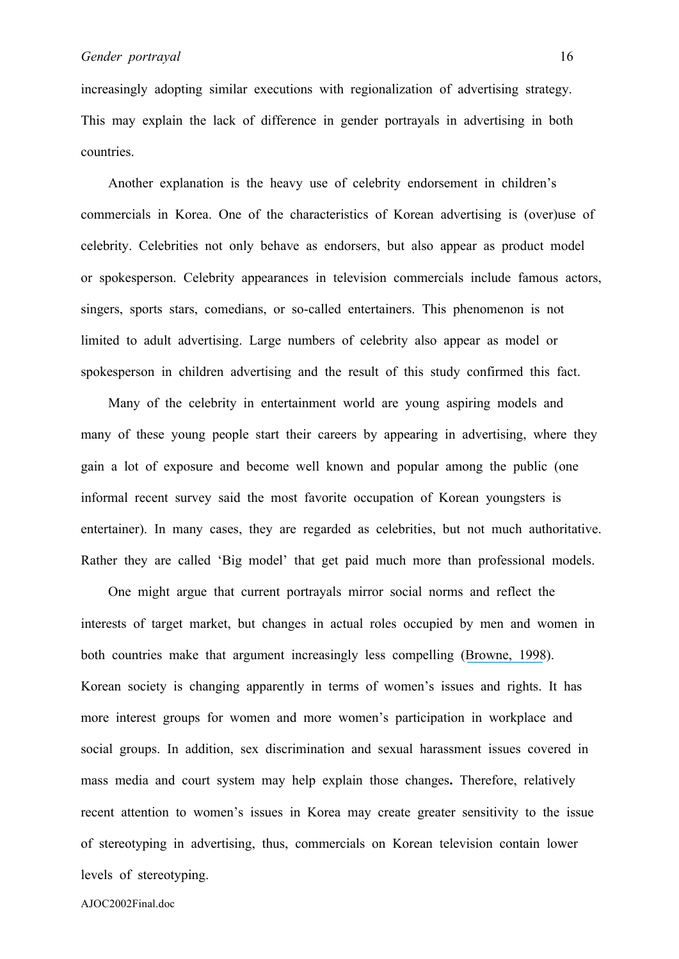increasingly adopting similar executions with regionalization of advertising strategy. This may explain the lack of difference in gender portrayals in advertising in both countries.

 Another explanation is the heavy use of celebrity endorsement in children's commercials in Korea. One of the characteristics of Korean advertising is (over)use of celebrity. Celebrities not only behave as endorsers, but also appear as product model or spokesperson. Celebrity appearances in television commercials include famous actors, singers, sports stars, comedians, or so-called entertainers. This phenomenon is not limited to adult advertising. Large numbers of celebrity also appear as model or spokesperson in children advertising and the result of this study confirmed this fact.

Many of the celebrity in entertainment world are young aspiring models and many of these young people start their careers by appearing in advertising, where they gain a lot of exposure and become well known and popular among the public (one informal recent survey said the most favorite occupation of Korean youngsters is entertainer). In many cases, they are regarded as celebrities, but not much authoritative. Rather they are called 'Big model' that get paid much more than professional models.

One might argue that current portrayals mirror social norms and reflect the interests of target market, but changes in actual roles occupied by men and women in both countries make that argument increasingly less compelling ([Browne, 1998](https://www.researchgate.net/publication/261624671_Gender_Stereotypes_in_Advertising_on_Children)). Korean society is changing apparently in terms of women's issues and rights. It has more interest groups for women and more women's participation in workplace and social groups. In addition, sex discrimination and sexual harassment issues covered in mass media and court system may help explain those changes**.** Therefore, relatively recent attention to women's issues in Korea may create greater sensitivity to the issue of stereotyping in advertising, thus, commercials on Korean television contain lower levels of stereotyping.

AJOC2002Final.doc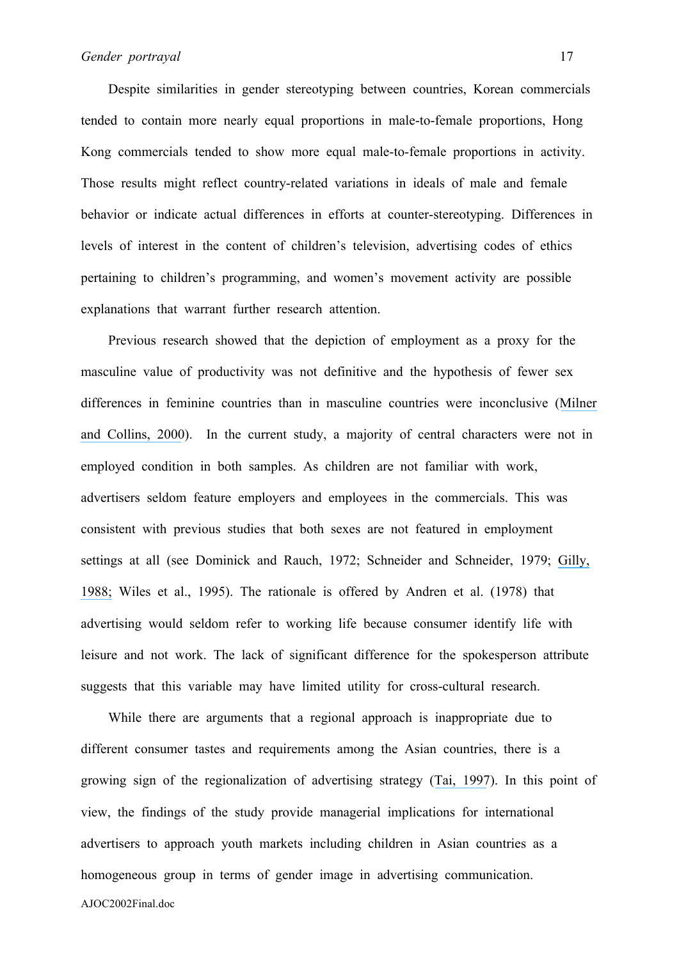Despite similarities in gender stereotyping between countries, Korean commercials tended to contain more nearly equal proportions in male-to-female proportions, Hong Kong commercials tended to show more equal male-to-female proportions in activity. Those results might reflect country-related variations in ideals of male and female behavior or indicate actual differences in efforts at counter-stereotyping. Differences in levels of interest in the content of children's television, advertising codes of ethics pertaining to children's programming, and women's movement activity are possible explanations that warrant further research attention.

 Previous research showed that the depiction of employment as a proxy for the masculine value of productivity was not definitive and the hypothesis of fewer sex differences in feminine countries than in masculine countries were inconclusive ([Milner](https://www.researchgate.net/publication/233894676_Sex-Role_Portrayals_and_the_Gender_of_Nations?el=1_x_8&enrichId=rgreq-21f3488f6d9c24cf826ed6bebaae5ef2-XXX&enrichSource=Y292ZXJQYWdlOzIzMzA1NjY0OTtBUzo0NDM4ODYwNzkzNTI4MzJAMTQ4Mjg0MjA5NjQyNw==) [and Collins, 2000](https://www.researchgate.net/publication/233894676_Sex-Role_Portrayals_and_the_Gender_of_Nations?el=1_x_8&enrichId=rgreq-21f3488f6d9c24cf826ed6bebaae5ef2-XXX&enrichSource=Y292ZXJQYWdlOzIzMzA1NjY0OTtBUzo0NDM4ODYwNzkzNTI4MzJAMTQ4Mjg0MjA5NjQyNw==)). In the current study, a majority of central characters were not in employed condition in both samples. As children are not familiar with work, advertisers seldom feature employers and employees in the commercials. This was consistent with previous studies that both sexes are not featured in employment settings at all (see Dominick and Rauch, 1972; Schneider and Schneider, 1979; [Gilly,](https://www.researchgate.net/publication/233894731_Sex_Roles_in_Advertising_A_Comparison_of_Television_Advertisements_in_Australia_Mexico_and_the_United_States?el=1_x_8&enrichId=rgreq-21f3488f6d9c24cf826ed6bebaae5ef2-XXX&enrichSource=Y292ZXJQYWdlOzIzMzA1NjY0OTtBUzo0NDM4ODYwNzkzNTI4MzJAMTQ4Mjg0MjA5NjQyNw==) [1988;](https://www.researchgate.net/publication/233894731_Sex_Roles_in_Advertising_A_Comparison_of_Television_Advertisements_in_Australia_Mexico_and_the_United_States?el=1_x_8&enrichId=rgreq-21f3488f6d9c24cf826ed6bebaae5ef2-XXX&enrichSource=Y292ZXJQYWdlOzIzMzA1NjY0OTtBUzo0NDM4ODYwNzkzNTI4MzJAMTQ4Mjg0MjA5NjQyNw==) Wiles et al., 1995). The rationale is offered by Andren et al. (1978) that advertising would seldom refer to working life because consumer identify life with leisure and not work. The lack of significant difference for the spokesperson attribute suggests that this variable may have limited utility for cross-cultural research.

AJOC2002Final.doc While there are arguments that a regional approach is inappropriate due to different consumer tastes and requirements among the Asian countries, there is a growing sign of the regionalization of advertising strategy ([Tai, 1997](https://www.researchgate.net/publication/229908679_Advertising_in_Asia_Localize_or_Regionalize?el=1_x_8&enrichId=rgreq-21f3488f6d9c24cf826ed6bebaae5ef2-XXX&enrichSource=Y292ZXJQYWdlOzIzMzA1NjY0OTtBUzo0NDM4ODYwNzkzNTI4MzJAMTQ4Mjg0MjA5NjQyNw==)). In this point of view, the findings of the study provide managerial implications for international advertisers to approach youth markets including children in Asian countries as a homogeneous group in terms of gender image in advertising communication.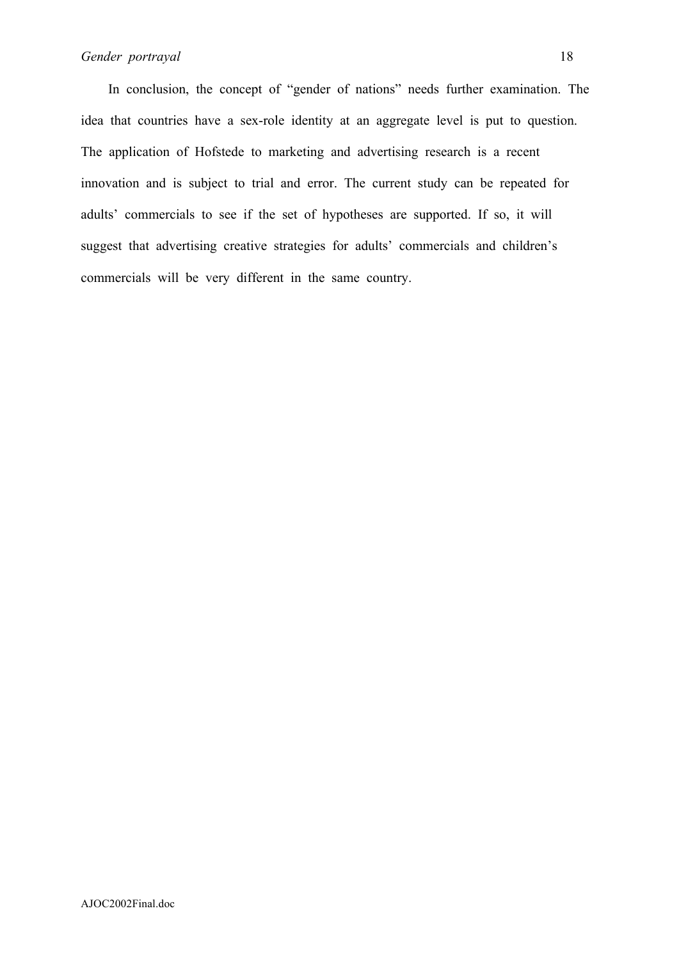In conclusion, the concept of "gender of nations" needs further examination. The idea that countries have a sex-role identity at an aggregate level is put to question. The application of Hofstede to marketing and advertising research is a recent innovation and is subject to trial and error. The current study can be repeated for adults' commercials to see if the set of hypotheses are supported. If so, it will suggest that advertising creative strategies for adults' commercials and children's commercials will be very different in the same country.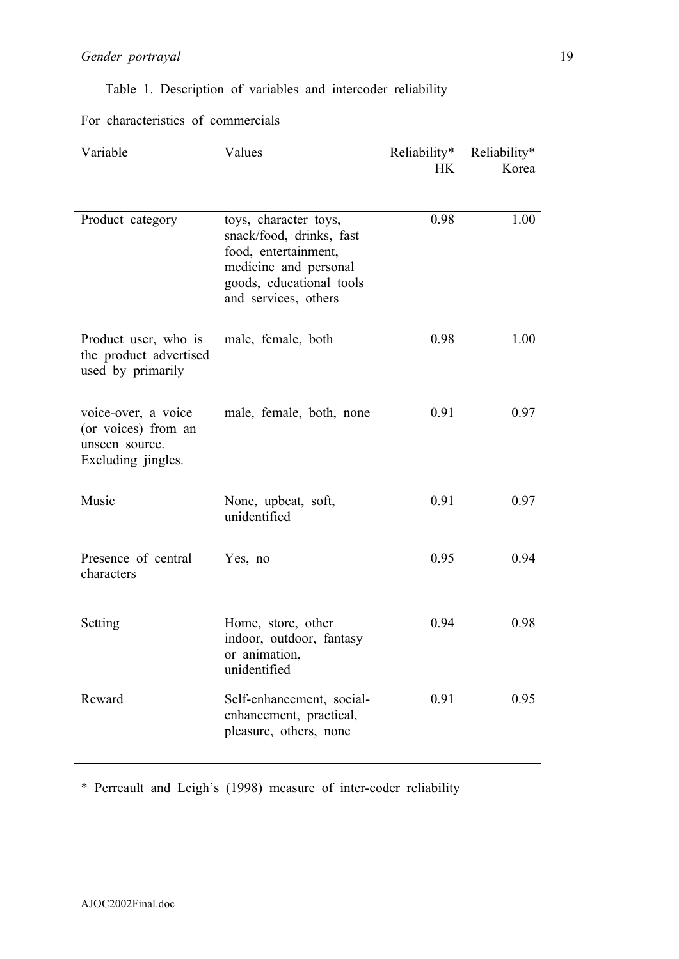Table 1. Description of variables and intercoder reliability

For characteristics of commercials

| Variable                                                                           | Values                                                                                                                                                 | Reliability*<br><b>HK</b> | Reliability*<br>Korea |
|------------------------------------------------------------------------------------|--------------------------------------------------------------------------------------------------------------------------------------------------------|---------------------------|-----------------------|
| Product category                                                                   | toys, character toys,<br>snack/food, drinks, fast<br>food, entertainment,<br>medicine and personal<br>goods, educational tools<br>and services, others | 0.98                      | 1.00                  |
| Product user, who is<br>the product advertised<br>used by primarily                | male, female, both                                                                                                                                     | 0.98                      | 1.00                  |
| voice-over, a voice<br>(or voices) from an<br>unseen source.<br>Excluding jingles. | male, female, both, none                                                                                                                               | 0.91                      | 0.97                  |
| Music                                                                              | None, upbeat, soft,<br>unidentified                                                                                                                    | 0.91                      | 0.97                  |
| Presence of central<br>characters                                                  | Yes, no                                                                                                                                                | 0.95                      | 0.94                  |
| Setting                                                                            | Home, store, other<br>indoor, outdoor, fantasy<br>or animation,<br>unidentified                                                                        | 0.94                      | 0.98                  |
| Reward                                                                             | Self-enhancement, social-<br>enhancement, practical,<br>pleasure, others, none                                                                         | 0.91                      | 0.95                  |

\* Perreault and Leigh's (1998) measure of inter-coder reliability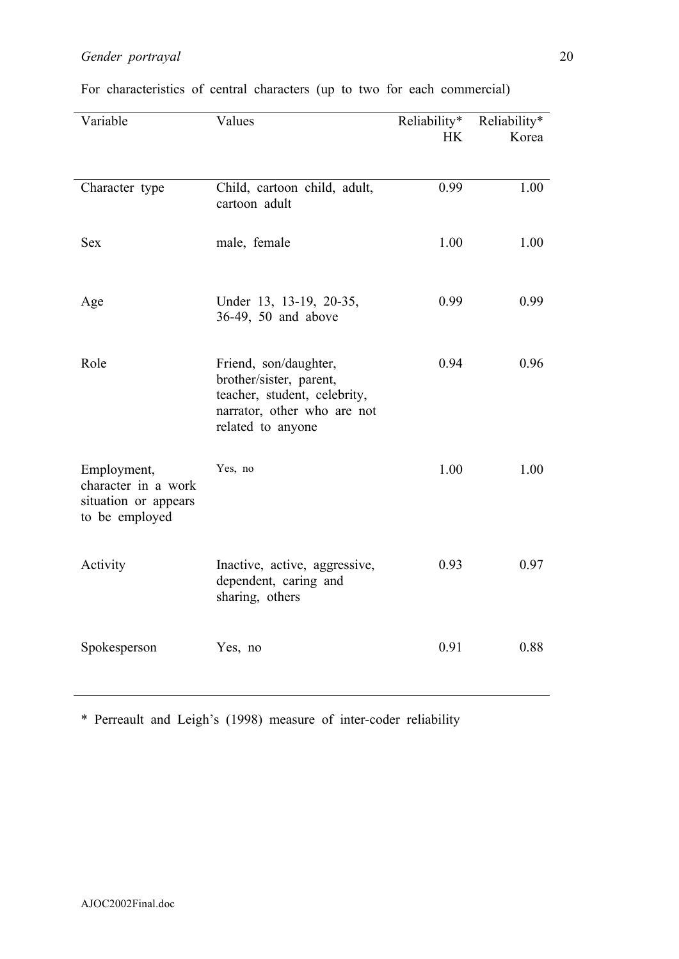| Variable                                                                     | Values                                                                                                                               | Reliability*<br><b>HK</b> | Reliability*<br>Korea |
|------------------------------------------------------------------------------|--------------------------------------------------------------------------------------------------------------------------------------|---------------------------|-----------------------|
| Character type                                                               | Child, cartoon child, adult,<br>cartoon adult                                                                                        | 0.99                      | 1.00                  |
| <b>Sex</b>                                                                   | male, female                                                                                                                         | 1.00                      | 1.00                  |
| Age                                                                          | Under 13, 13-19, 20-35,<br>36-49, 50 and above                                                                                       | 0.99                      | 0.99                  |
| Role                                                                         | Friend, son/daughter,<br>brother/sister, parent,<br>teacher, student, celebrity,<br>narrator, other who are not<br>related to anyone | 0.94                      | 0.96                  |
| Employment,<br>character in a work<br>situation or appears<br>to be employed | Yes, no                                                                                                                              | 1.00                      | 1.00                  |
| Activity                                                                     | Inactive, active, aggressive,<br>dependent, caring and<br>sharing, others                                                            | 0.93                      | 0.97                  |
| Spokesperson                                                                 | Yes, no                                                                                                                              | 0.91                      | 0.88                  |

For characteristics of central characters (up to two for each commercial)

\* Perreault and Leigh's (1998) measure of inter-coder reliability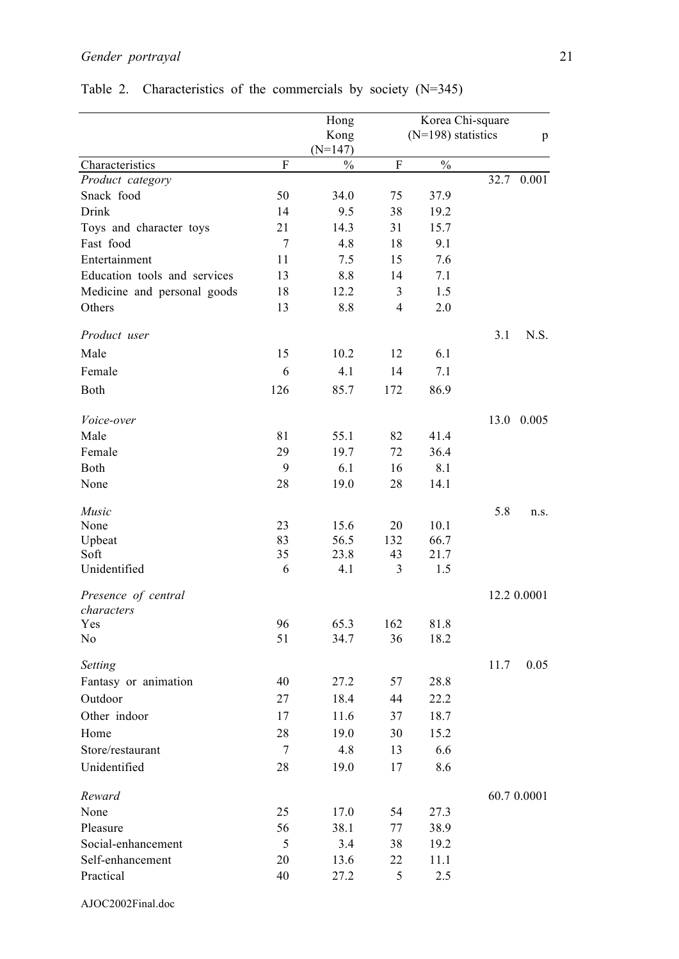|                              |                | Hong              |                | Korea Chi-square     |      |             |
|------------------------------|----------------|-------------------|----------------|----------------------|------|-------------|
|                              |                | Kong<br>$(N=147)$ |                | $(N=198)$ statistics |      | p           |
| Characteristics              | $\mathbf F$    | $\frac{0}{0}$     | ${\bf F}$      | $\frac{0}{0}$        |      |             |
| Product category             |                |                   |                |                      |      | 32.7 0.001  |
| Snack food                   | 50             | 34.0              | 75             | 37.9                 |      |             |
| Drink                        | 14             | 9.5               | 38             | 19.2                 |      |             |
| Toys and character toys      | 21             | 14.3              | 31             | 15.7                 |      |             |
| Fast food                    | $\overline{7}$ | 4.8               | 18             | 9.1                  |      |             |
| Entertainment                | 11             | 7.5               | 15             | 7.6                  |      |             |
| Education tools and services | 13             | 8.8               | 14             | 7.1                  |      |             |
| Medicine and personal goods  | 18             | 12.2              | 3              | 1.5                  |      |             |
| Others                       | 13             | 8.8               | $\overline{4}$ | 2.0                  |      |             |
| Product user                 |                |                   |                |                      | 3.1  | N.S.        |
| Male                         | 15             | 10.2              | 12             | 6.1                  |      |             |
| Female                       | 6              | 4.1               | 14             | 7.1                  |      |             |
| Both                         | 126            | 85.7              | 172            | 86.9                 |      |             |
| Voice-over                   |                |                   |                |                      | 13.0 | 0.005       |
| Male                         | 81             | 55.1              | 82             | 41.4                 |      |             |
| Female                       | 29             | 19.7              | 72             | 36.4                 |      |             |
| Both                         | 9              | 6.1               | 16             | 8.1                  |      |             |
| None                         | 28             | 19.0              | 28             | 14.1                 |      |             |
| Music                        |                |                   |                |                      | 5.8  | n.S.        |
| None                         | 23             | 15.6              | 20             | 10.1                 |      |             |
| Upbeat                       | 83             | 56.5              | 132            | 66.7                 |      |             |
| Soft                         | 35             | 23.8              | 43             | 21.7                 |      |             |
| Unidentified                 | 6              | 4.1               | 3              | 1.5                  |      |             |
| Presence of central          |                |                   |                |                      |      | 12.2 0.0001 |
| characters                   |                |                   |                |                      |      |             |
| Yes<br>N <sub>0</sub>        | 96<br>51       | 65.3<br>34.7      | 162<br>36      | 81.8<br>18.2         |      |             |
|                              |                |                   |                |                      |      |             |
| Setting                      |                |                   |                |                      | 11.7 | 0.05        |
| Fantasy or animation         | 40             | 27.2              | 57             | 28.8                 |      |             |
| Outdoor                      | 27             | 18.4              | 44             | 22.2                 |      |             |
| Other indoor                 | 17             | 11.6              | 37             | 18.7                 |      |             |
| Home                         | 28             | 19.0              | 30             | 15.2                 |      |             |
| Store/restaurant             | $\overline{7}$ | 4.8               | 13             | 6.6                  |      |             |
| Unidentified                 | 28             | 19.0              | 17             | 8.6                  |      |             |
| Reward                       |                |                   |                |                      |      | 60.7 0.0001 |
| None                         | 25             | 17.0              | 54             | 27.3                 |      |             |
| Pleasure                     | 56             | 38.1              | 77             | 38.9                 |      |             |
| Social-enhancement           | 5              | 3.4               | 38             | 19.2                 |      |             |
| Self-enhancement             | 20             | 13.6              | 22             | 11.1                 |      |             |
| Practical                    | 40             | 27.2              | 5              | 2.5                  |      |             |

# Table 2. Characteristics of the commercials by society (N=345)

AJOC2002Final.doc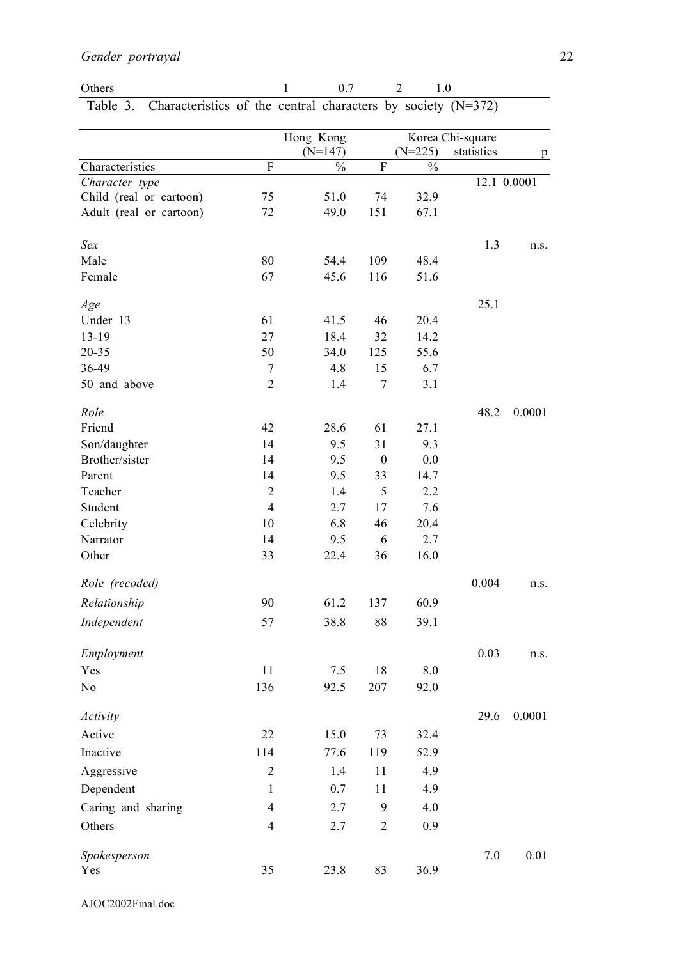| <b>Others</b> |                                                                         |  | $1 \t 07 \t 2 \t 10$ |  |
|---------------|-------------------------------------------------------------------------|--|----------------------|--|
|               | Table 3. Characteristics of the central characters by society $(N=372)$ |  |                      |  |

|                         |                           | Hong Kong     |                  |               | Korea Chi-square |             |
|-------------------------|---------------------------|---------------|------------------|---------------|------------------|-------------|
|                         |                           | $(N=147)$     |                  | $(N=225)$     | statistics       | p           |
| Characteristics         | $\boldsymbol{\mathrm{F}}$ | $\frac{0}{0}$ | ${\bf F}$        | $\frac{0}{0}$ |                  |             |
| Character type          |                           |               |                  |               |                  | 12.1 0.0001 |
| Child (real or cartoon) | 75                        | 51.0          | 74               | 32.9          |                  |             |
| Adult (real or cartoon) | 72                        | 49.0          | 151              | 67.1          |                  |             |
| Sex                     |                           |               |                  |               | 1.3              | n.s.        |
| Male                    | 80                        | 54.4          | 109              | 48.4          |                  |             |
| Female                  | 67                        | 45.6          | 116              | 51.6          |                  |             |
|                         |                           |               |                  |               |                  |             |
| Age                     |                           |               |                  |               | 25.1             |             |
| Under 13                | 61                        | 41.5          | 46               | 20.4          |                  |             |
| 13-19                   | 27                        | 18.4          | 32               | 14.2          |                  |             |
| 20-35                   | 50                        | 34.0          | 125              | 55.6          |                  |             |
| 36-49                   | $\sqrt{ }$                | 4.8           | 15               | 6.7           |                  |             |
| 50 and above            | $\overline{2}$            | 1.4           | $\tau$           | 3.1           |                  |             |
| Role                    |                           |               |                  |               | 48.2             | 0.0001      |
| Friend                  | 42                        | 28.6          | 61               | 27.1          |                  |             |
| Son/daughter            | 14                        | 9.5           | 31               | 9.3           |                  |             |
| Brother/sister          | 14                        | 9.5           | $\boldsymbol{0}$ | 0.0           |                  |             |
| Parent                  | 14                        | 9.5           | 33               | 14.7          |                  |             |
| Teacher                 | $\overline{2}$            | 1.4           | 5                | 2.2           |                  |             |
| Student                 | $\overline{4}$            | 2.7           | 17               | 7.6           |                  |             |
| Celebrity               | 10                        | 6.8           | 46               | 20.4          |                  |             |
| Narrator                | 14                        | 9.5           | 6                | 2.7           |                  |             |
| Other                   | 33                        | 22.4          | 36               | 16.0          |                  |             |
| Role (recoded)          |                           |               |                  |               | 0.004            | n.s.        |
| Relationship            | 90                        | 61.2          | 137              | 60.9          |                  |             |
| Independent             | 57                        | 38.8          | 88               | 39.1          |                  |             |
|                         |                           |               |                  |               |                  |             |
| Employment              |                           |               |                  |               | 0.03             | n.s.        |
| Yes                     | 11                        | 7.5           | 18               | 8.0           |                  |             |
| No                      | 136                       | 92.5          | 207              | 92.0          |                  |             |
| Activity                |                           |               |                  |               | 29.6             | 0.0001      |
| Active                  | 22                        | 15.0          | 73               | 32.4          |                  |             |
| Inactive                | 114                       | 77.6          | 119              | 52.9          |                  |             |
| Aggressive              | $\overline{2}$            | 1.4           | 11               | 4.9           |                  |             |
| Dependent               | 1                         | 0.7           | 11               | 4.9           |                  |             |
| Caring and sharing      | $\overline{4}$            | 2.7           | 9                | 4.0           |                  |             |
| Others                  | $\overline{4}$            | 2.7           | $\overline{2}$   | 0.9           |                  |             |
| Spokesperson<br>Yes     | 35                        | 23.8          | 83               | 36.9          | 7.0              | 0.01        |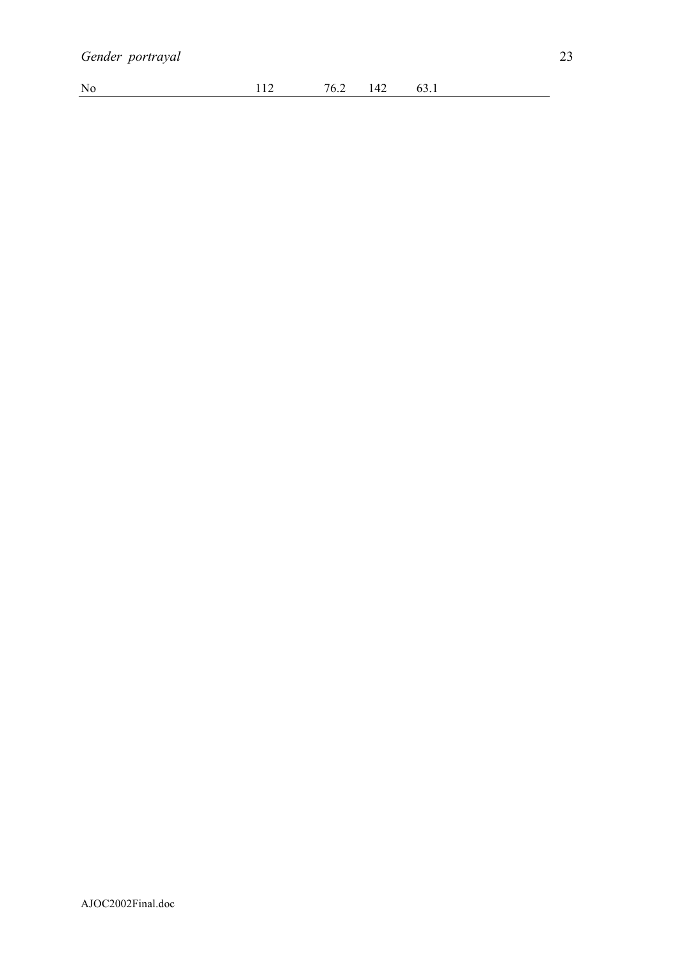| No<br>$\sim$<br>'n<br>╶<br>$\mathbf{v} \cdot \mathbf{v}$<br>◡◡ . ュ<br>.<br>$\sim$ |  |
|-----------------------------------------------------------------------------------|--|
|-----------------------------------------------------------------------------------|--|

 $\sim 10^{11}$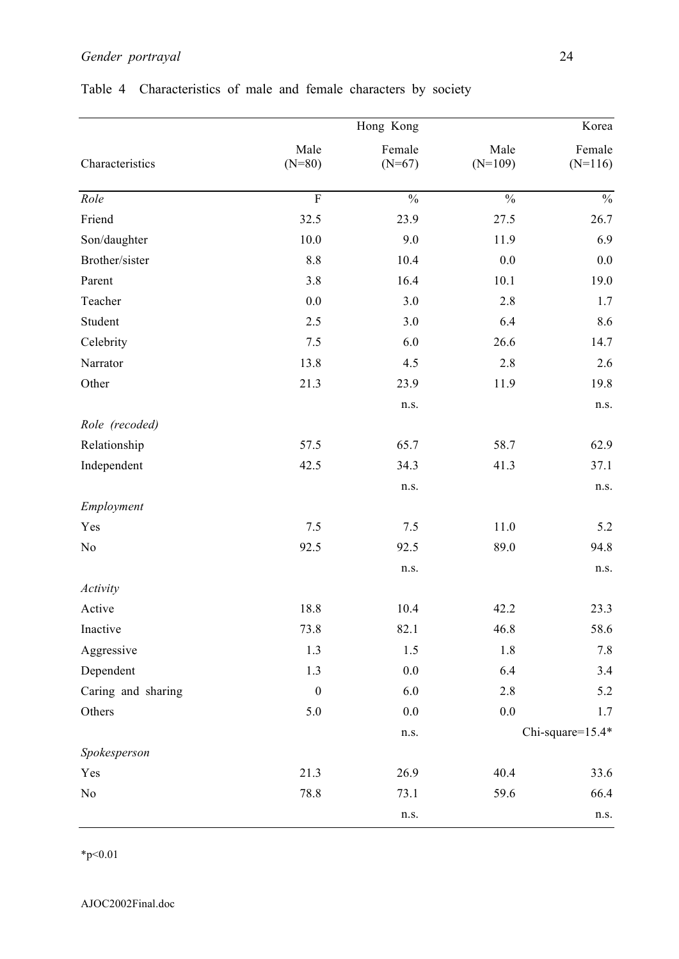|                    |                  |                          | Korea                    |                          |  |
|--------------------|------------------|--------------------------|--------------------------|--------------------------|--|
| Characteristics    | Male<br>$(N=80)$ | Female<br>$(N=67)$       | Male<br>$(N=109)$        | Female<br>$(N=116)$      |  |
| Role               | $\overline{F}$   | $\overline{\frac{0}{0}}$ | $\overline{\frac{0}{6}}$ | $\overline{\frac{0}{6}}$ |  |
| Friend             | 32.5             | 23.9                     | 27.5                     | 26.7                     |  |
| Son/daughter       | 10.0             | 9.0                      | 11.9                     | 6.9                      |  |
| Brother/sister     | 8.8              | 10.4                     | 0.0                      | $0.0\,$                  |  |
| Parent             | 3.8              | 16.4                     | 10.1                     | 19.0                     |  |
| Teacher            | 0.0              | 3.0                      | 2.8                      | 1.7                      |  |
| Student            | 2.5              | 3.0                      | 6.4                      | 8.6                      |  |
| Celebrity          | 7.5              | 6.0                      | 26.6                     | 14.7                     |  |
| Narrator           | 13.8             | 4.5                      | 2.8                      | 2.6                      |  |
| Other              | 21.3             | 23.9                     | 11.9                     | 19.8                     |  |
|                    |                  | n.s.                     |                          | n.s.                     |  |
| Role (recoded)     |                  |                          |                          |                          |  |
| Relationship       | 57.5             | 65.7                     | 58.7                     | 62.9                     |  |
| Independent        | 42.5             | 34.3                     | 41.3                     | 37.1                     |  |
|                    |                  | n.s.                     |                          | n.s.                     |  |
| Employment         |                  |                          |                          |                          |  |
| Yes                | 7.5              | $7.5$                    | 11.0                     | 5.2                      |  |
| No                 | 92.5             | 92.5                     | 89.0                     | 94.8                     |  |
|                    |                  | n.s.                     |                          | n.s.                     |  |
| Activity           |                  |                          |                          |                          |  |
| Active             | 18.8             | 10.4                     | 42.2                     | 23.3                     |  |
| Inactive           | 73.8             | 82.1                     | 46.8                     | 58.6                     |  |
| Aggressive         | 1.3              | 1.5                      | 1.8                      | 7.8                      |  |
| Dependent          | 1.3              | $0.0\,$                  | 6.4                      | 3.4                      |  |
| Caring and sharing | $\boldsymbol{0}$ | 6.0                      | 2.8                      | 5.2                      |  |
| Others             | 5.0              | $0.0\,$                  | 0.0                      | 1.7                      |  |
|                    |                  | n.s.                     |                          | Chi-square=15.4*         |  |
| Spokesperson       |                  |                          |                          |                          |  |
| Yes                | 21.3             | 26.9                     | 40.4                     | 33.6                     |  |
| No                 | 78.8             | 73.1                     | 59.6                     | 66.4                     |  |
|                    |                  | n.s.                     |                          | n.s.                     |  |

# Table 4 Characteristics of male and female characters by society

 $*_{p<0.01}$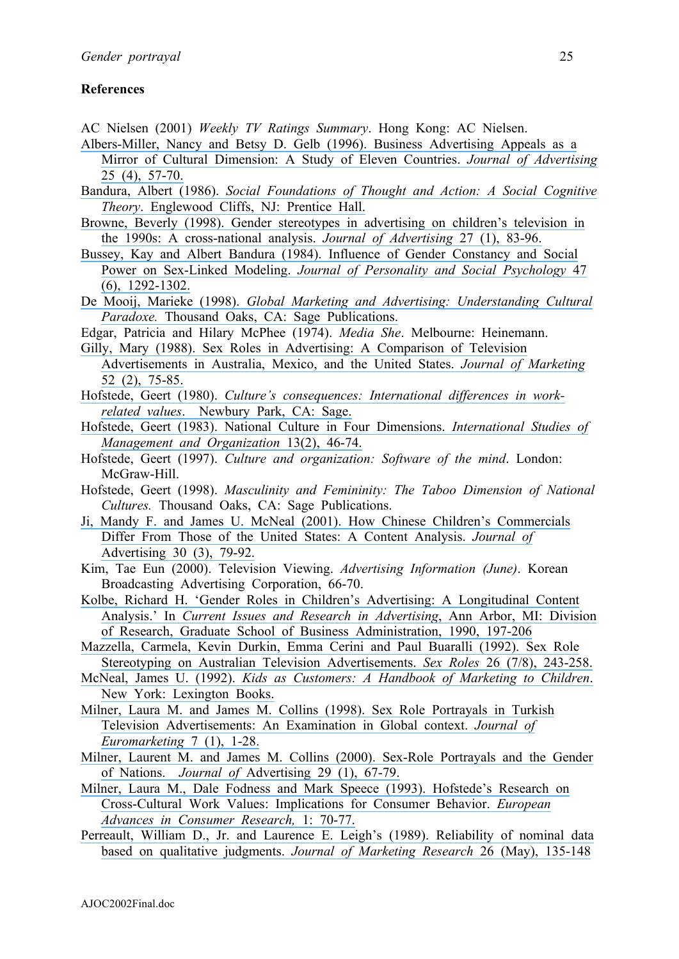## **References**

- AC Nielsen (2001) *Weekly TV Ratings Summary*. Hong Kong: AC Nielsen.
- [Albers-Miller, Nancy and Betsy D. Gelb \(1996\). Business Advertising Appeals as a](https://www.researchgate.net/publication/233894861_Business_Advertising_Appeals_as_a_Mirror_of_Cultural_Dimensions_A_Study_of_Eleven_Countries?el=1_x_8&enrichId=rgreq-21f3488f6d9c24cf826ed6bebaae5ef2-XXX&enrichSource=Y292ZXJQYWdlOzIzMzA1NjY0OTtBUzo0NDM4ODYwNzkzNTI4MzJAMTQ4Mjg0MjA5NjQyNw==)
- [Mirror of Cultural Dimension: A Study of Eleven Countries.](https://www.researchgate.net/publication/233894861_Business_Advertising_Appeals_as_a_Mirror_of_Cultural_Dimensions_A_Study_of_Eleven_Countries?el=1_x_8&enrichId=rgreq-21f3488f6d9c24cf826ed6bebaae5ef2-XXX&enrichSource=Y292ZXJQYWdlOzIzMzA1NjY0OTtBUzo0NDM4ODYwNzkzNTI4MzJAMTQ4Mjg0MjA5NjQyNw==) *Journal of Advertising* [25 \(4\), 57-70.](https://www.researchgate.net/publication/233894861_Business_Advertising_Appeals_as_a_Mirror_of_Cultural_Dimensions_A_Study_of_Eleven_Countries?el=1_x_8&enrichId=rgreq-21f3488f6d9c24cf826ed6bebaae5ef2-XXX&enrichSource=Y292ZXJQYWdlOzIzMzA1NjY0OTtBUzo0NDM4ODYwNzkzNTI4MzJAMTQ4Mjg0MjA5NjQyNw==)
- Bandura, Albert (1986). *[Social Foundations of Thought and Action: A Social Cognitive](https://www.researchgate.net/publication/233820393_Social_Foundations_of_Thought_Action_A_Social_Cognitive_Theory?el=1_x_8&enrichId=rgreq-21f3488f6d9c24cf826ed6bebaae5ef2-XXX&enrichSource=Y292ZXJQYWdlOzIzMzA1NjY0OTtBUzo0NDM4ODYwNzkzNTI4MzJAMTQ4Mjg0MjA5NjQyNw==)  Theory*[. Englewood Cliffs, NJ: Prentice Hall.](https://www.researchgate.net/publication/233820393_Social_Foundations_of_Thought_Action_A_Social_Cognitive_Theory?el=1_x_8&enrichId=rgreq-21f3488f6d9c24cf826ed6bebaae5ef2-XXX&enrichSource=Y292ZXJQYWdlOzIzMzA1NjY0OTtBUzo0NDM4ODYwNzkzNTI4MzJAMTQ4Mjg0MjA5NjQyNw==)
- [Browne, Beverly \(1998\). Gender stereotypes in advertising on children's television in](https://www.researchgate.net/publication/261624671_Gender_Stereotypes_in_Advertising_on_Children)  [the 1990s: A cross-national analysis.](https://www.researchgate.net/publication/261624671_Gender_Stereotypes_in_Advertising_on_Children) *Journal of Advertising* 27 (1), 83-96.
- [Bussey, Kay and Albert Bandura \(1984\). Influence of Gender Constancy and Social](https://www.researchgate.net/publication/16669523_Influence_of_Gender_Constancy_and_Social_Power_on_Sex-Linked_Modeling?el=1_x_8&enrichId=rgreq-21f3488f6d9c24cf826ed6bebaae5ef2-XXX&enrichSource=Y292ZXJQYWdlOzIzMzA1NjY0OTtBUzo0NDM4ODYwNzkzNTI4MzJAMTQ4Mjg0MjA5NjQyNw==)  Power on Sex-Linked Modeling. *[Journal of Personality and Social Psychology](https://www.researchgate.net/publication/16669523_Influence_of_Gender_Constancy_and_Social_Power_on_Sex-Linked_Modeling?el=1_x_8&enrichId=rgreq-21f3488f6d9c24cf826ed6bebaae5ef2-XXX&enrichSource=Y292ZXJQYWdlOzIzMzA1NjY0OTtBUzo0NDM4ODYwNzkzNTI4MzJAMTQ4Mjg0MjA5NjQyNw==)* 47 [\(6\), 1292-1302.](https://www.researchgate.net/publication/16669523_Influence_of_Gender_Constancy_and_Social_Power_on_Sex-Linked_Modeling?el=1_x_8&enrichId=rgreq-21f3488f6d9c24cf826ed6bebaae5ef2-XXX&enrichSource=Y292ZXJQYWdlOzIzMzA1NjY0OTtBUzo0NDM4ODYwNzkzNTI4MzJAMTQ4Mjg0MjA5NjQyNw==)
- De Mooij, Marieke (1998). *[Global Marketing and Advertising: Understanding Cultural](https://www.researchgate.net/publication/233894968_Global_Marketing_and_Advertising_Understanding_Cultural_Paradoxes?el=1_x_8&enrichId=rgreq-21f3488f6d9c24cf826ed6bebaae5ef2-XXX&enrichSource=Y292ZXJQYWdlOzIzMzA1NjY0OTtBUzo0NDM4ODYwNzkzNTI4MzJAMTQ4Mjg0MjA5NjQyNw==)  Paradoxe.* [Thousand Oaks, CA: Sage Publications.](https://www.researchgate.net/publication/233894968_Global_Marketing_and_Advertising_Understanding_Cultural_Paradoxes?el=1_x_8&enrichId=rgreq-21f3488f6d9c24cf826ed6bebaae5ef2-XXX&enrichSource=Y292ZXJQYWdlOzIzMzA1NjY0OTtBUzo0NDM4ODYwNzkzNTI4MzJAMTQ4Mjg0MjA5NjQyNw==)
- Edgar, Patricia and Hilary McPhee (1974). *Media She*. Melbourne: Heinemann.
- [Gilly, Mary \(1988\). Sex Roles in Advertising: A Comparison of Television](https://www.researchgate.net/publication/233894731_Sex_Roles_in_Advertising_A_Comparison_of_Television_Advertisements_in_Australia_Mexico_and_the_United_States?el=1_x_8&enrichId=rgreq-21f3488f6d9c24cf826ed6bebaae5ef2-XXX&enrichSource=Y292ZXJQYWdlOzIzMzA1NjY0OTtBUzo0NDM4ODYwNzkzNTI4MzJAMTQ4Mjg0MjA5NjQyNw==) [Advertisements in Australia, Mexico, and the United States.](https://www.researchgate.net/publication/233894731_Sex_Roles_in_Advertising_A_Comparison_of_Television_Advertisements_in_Australia_Mexico_and_the_United_States?el=1_x_8&enrichId=rgreq-21f3488f6d9c24cf826ed6bebaae5ef2-XXX&enrichSource=Y292ZXJQYWdlOzIzMzA1NjY0OTtBUzo0NDM4ODYwNzkzNTI4MzJAMTQ4Mjg0MjA5NjQyNw==) *Journal of Marketing* [52 \(2\), 75-85.](https://www.researchgate.net/publication/233894731_Sex_Roles_in_Advertising_A_Comparison_of_Television_Advertisements_in_Australia_Mexico_and_the_United_States?el=1_x_8&enrichId=rgreq-21f3488f6d9c24cf826ed6bebaae5ef2-XXX&enrichSource=Y292ZXJQYWdlOzIzMzA1NjY0OTtBUzo0NDM4ODYwNzkzNTI4MzJAMTQ4Mjg0MjA5NjQyNw==)
- Hofstede, Geert (1980). *[Culture's consequences: International differences in work](https://www.researchgate.net/publication/201381901_Culture)related values*[. Newbury Park, CA: Sage.](https://www.researchgate.net/publication/201381901_Culture)
- [Hofstede, Geert \(1983\). National Culture in Four Dimensions.](https://www.researchgate.net/publication/275714552_National_Cultures_in_Four_Dimensions?el=1_x_8&enrichId=rgreq-21f3488f6d9c24cf826ed6bebaae5ef2-XXX&enrichSource=Y292ZXJQYWdlOzIzMzA1NjY0OTtBUzo0NDM4ODYwNzkzNTI4MzJAMTQ4Mjg0MjA5NjQyNw==) *International Studies of [Management and Organization](https://www.researchgate.net/publication/275714552_National_Cultures_in_Four_Dimensions?el=1_x_8&enrichId=rgreq-21f3488f6d9c24cf826ed6bebaae5ef2-XXX&enrichSource=Y292ZXJQYWdlOzIzMzA1NjY0OTtBUzo0NDM4ODYwNzkzNTI4MzJAMTQ4Mjg0MjA5NjQyNw==)* 13(2), 46-74.
- Hofstede, Geert (1997). *Culture and organization: Software of the mind*. London: McGraw-Hill.
- Hofstede, Geert (1998). *Masculinity and Femininity: The Taboo Dimension of National Cultures.* Thousand Oaks, CA: Sage Publications.
- [Ji, Mandy F. and James U. McNeal \(2001\). How Chinese Children's Commercials](https://www.researchgate.net/publication/233894689_How_Chinese_Children) [Differ From Those of the United States: A Content Analysis.](https://www.researchgate.net/publication/233894689_How_Chinese_Children) *Journal of*  [Advertising 30 \(3\), 79-92.](https://www.researchgate.net/publication/233894689_How_Chinese_Children)
- Kim, Tae Eun (2000). Television Viewing. *Advertising Information (June)*. Korean Broadcasting Advertising Corporation, 66-70.
- [Kolbe, Richard H. 'Gender Roles in Children's Advertising: A Longitudinal Content](https://www.researchgate.net/publication/233080209_Gender_Roles_in_Children) Analysis.' In *[Current Issues and Research in Advertising](https://www.researchgate.net/publication/233080209_Gender_Roles_in_Children)*, Ann Arbor, MI: Division [of Research, Graduate School of Business Administration, 1990, 197-206](https://www.researchgate.net/publication/233080209_Gender_Roles_in_Children)
- [Mazzella, Carmela, Kevin Durkin, Emma Cerini and Paul Buaralli \(1992\). Sex Role](https://www.researchgate.net/publication/226081037_Sex_role_stereotyping_in_Australian_television_advertisements?el=1_x_8&enrichId=rgreq-21f3488f6d9c24cf826ed6bebaae5ef2-XXX&enrichSource=Y292ZXJQYWdlOzIzMzA1NjY0OTtBUzo0NDM4ODYwNzkzNTI4MzJAMTQ4Mjg0MjA5NjQyNw==) [Stereotyping on Australian Television Advertisements.](https://www.researchgate.net/publication/226081037_Sex_role_stereotyping_in_Australian_television_advertisements?el=1_x_8&enrichId=rgreq-21f3488f6d9c24cf826ed6bebaae5ef2-XXX&enrichSource=Y292ZXJQYWdlOzIzMzA1NjY0OTtBUzo0NDM4ODYwNzkzNTI4MzJAMTQ4Mjg0MjA5NjQyNw==) *Sex Roles* 26 (7/8), 243-258.
- McNeal, James U. (1992). *[Kids as Customers: A Handbook of Marketing to Children](https://www.researchgate.net/publication/246605301_Kids_as_Customers_A_Handbook_of_Marketing_to_Children?el=1_x_8&enrichId=rgreq-21f3488f6d9c24cf826ed6bebaae5ef2-XXX&enrichSource=Y292ZXJQYWdlOzIzMzA1NjY0OTtBUzo0NDM4ODYwNzkzNTI4MzJAMTQ4Mjg0MjA5NjQyNw==)*. [New York: Lexington Books.](https://www.researchgate.net/publication/246605301_Kids_as_Customers_A_Handbook_of_Marketing_to_Children?el=1_x_8&enrichId=rgreq-21f3488f6d9c24cf826ed6bebaae5ef2-XXX&enrichSource=Y292ZXJQYWdlOzIzMzA1NjY0OTtBUzo0NDM4ODYwNzkzNTI4MzJAMTQ4Mjg0MjA5NjQyNw==)
- [Milner, Laura M. and James M. Collins \(1998\). Sex Role Portrayals in Turkish](https://www.researchgate.net/publication/271904314_Sex_Role_Portrayals_in_Turkish_Television_Advertisements_An_Examination_in_an_International_Context?el=1_x_8&enrichId=rgreq-21f3488f6d9c24cf826ed6bebaae5ef2-XXX&enrichSource=Y292ZXJQYWdlOzIzMzA1NjY0OTtBUzo0NDM4ODYwNzkzNTI4MzJAMTQ4Mjg0MjA5NjQyNw==) [Television Advertisements: An Examination in Global context.](https://www.researchgate.net/publication/271904314_Sex_Role_Portrayals_in_Turkish_Television_Advertisements_An_Examination_in_an_International_Context?el=1_x_8&enrichId=rgreq-21f3488f6d9c24cf826ed6bebaae5ef2-XXX&enrichSource=Y292ZXJQYWdlOzIzMzA1NjY0OTtBUzo0NDM4ODYwNzkzNTI4MzJAMTQ4Mjg0MjA5NjQyNw==) *Journal of [Euromarketing](https://www.researchgate.net/publication/271904314_Sex_Role_Portrayals_in_Turkish_Television_Advertisements_An_Examination_in_an_International_Context?el=1_x_8&enrichId=rgreq-21f3488f6d9c24cf826ed6bebaae5ef2-XXX&enrichSource=Y292ZXJQYWdlOzIzMzA1NjY0OTtBUzo0NDM4ODYwNzkzNTI4MzJAMTQ4Mjg0MjA5NjQyNw==)* 7 (1), 1-28.
- [Milner, Laurent M. and James M. Collins \(2000\). Sex-Role Portrayals and the Gender](https://www.researchgate.net/publication/233894676_Sex-Role_Portrayals_and_the_Gender_of_Nations?el=1_x_8&enrichId=rgreq-21f3488f6d9c24cf826ed6bebaae5ef2-XXX&enrichSource=Y292ZXJQYWdlOzIzMzA1NjY0OTtBUzo0NDM4ODYwNzkzNTI4MzJAMTQ4Mjg0MjA5NjQyNw==) of Nations. *Journal of* [Advertising 29 \(1\), 67-79.](https://www.researchgate.net/publication/233894676_Sex-Role_Portrayals_and_the_Gender_of_Nations?el=1_x_8&enrichId=rgreq-21f3488f6d9c24cf826ed6bebaae5ef2-XXX&enrichSource=Y292ZXJQYWdlOzIzMzA1NjY0OTtBUzo0NDM4ODYwNzkzNTI4MzJAMTQ4Mjg0MjA5NjQyNw==)
- [Milner, Laura M., Dale Fodness and Mark Speece \(1993\). Hofstede's Research on](https://www.researchgate.net/publication/284052474_Hofstede) [Cross-Cultural Work Values: Implications for Consumer Behavior.](https://www.researchgate.net/publication/284052474_Hofstede) *European [Advances in Consumer Research,](https://www.researchgate.net/publication/284052474_Hofstede)* 1: 70-77.
- [Perreault, William D., Jr. and Laurence E. Leigh's \(1989\). Reliability of nominal data](https://www.researchgate.net/publication/277432424_Reliability_of_Nominal_Data_Based_on_Qualitative_Judgments?el=1_x_8&enrichId=rgreq-21f3488f6d9c24cf826ed6bebaae5ef2-XXX&enrichSource=Y292ZXJQYWdlOzIzMzA1NjY0OTtBUzo0NDM4ODYwNzkzNTI4MzJAMTQ4Mjg0MjA5NjQyNw==)  [based on qualitative judgments.](https://www.researchgate.net/publication/277432424_Reliability_of_Nominal_Data_Based_on_Qualitative_Judgments?el=1_x_8&enrichId=rgreq-21f3488f6d9c24cf826ed6bebaae5ef2-XXX&enrichSource=Y292ZXJQYWdlOzIzMzA1NjY0OTtBUzo0NDM4ODYwNzkzNTI4MzJAMTQ4Mjg0MjA5NjQyNw==) *Journal of Marketing Research* 26 (May), 135-148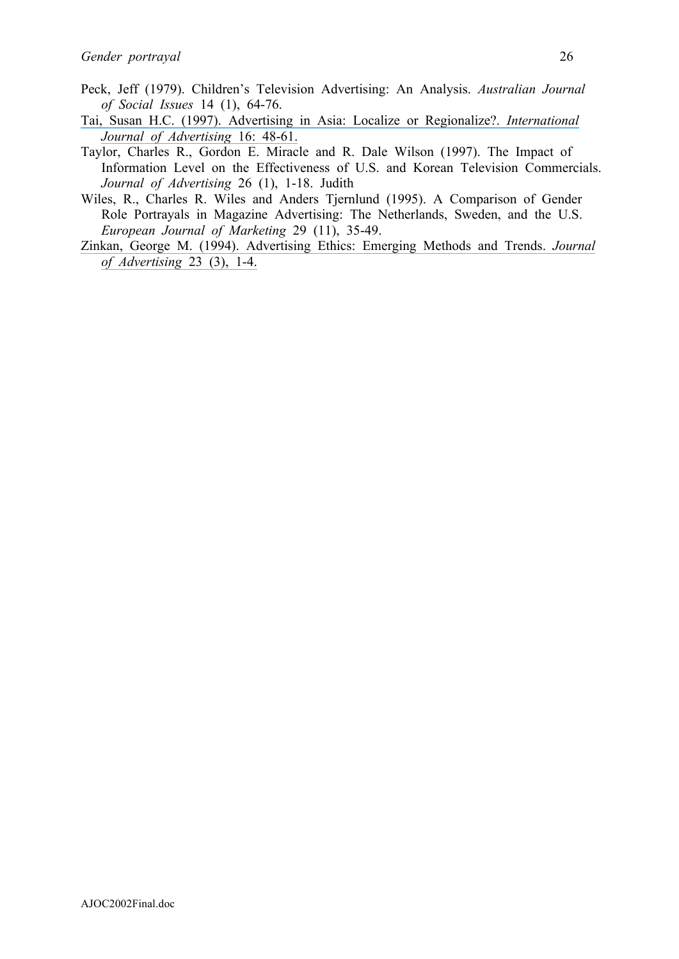- Peck, Jeff (1979). Children's Television Advertising: An Analysis. *Australian Journal of Social Issues* 14 (1), 64-76.
- [Tai, Susan H.C. \(1997\). Advertising in Asia: Localize or Regionalize?.](https://www.researchgate.net/publication/229908679_Advertising_in_Asia_Localize_or_Regionalize?el=1_x_8&enrichId=rgreq-21f3488f6d9c24cf826ed6bebaae5ef2-XXX&enrichSource=Y292ZXJQYWdlOzIzMzA1NjY0OTtBUzo0NDM4ODYwNzkzNTI4MzJAMTQ4Mjg0MjA5NjQyNw==) *International [Journal of Advertising](https://www.researchgate.net/publication/229908679_Advertising_in_Asia_Localize_or_Regionalize?el=1_x_8&enrichId=rgreq-21f3488f6d9c24cf826ed6bebaae5ef2-XXX&enrichSource=Y292ZXJQYWdlOzIzMzA1NjY0OTtBUzo0NDM4ODYwNzkzNTI4MzJAMTQ4Mjg0MjA5NjQyNw==)* 16: 48-61.
- Taylor, Charles R., Gordon E. Miracle and R. Dale Wilson (1997). The Impact of Information Level on the Effectiveness of U.S. and Korean Television Commercials. *Journal of Advertising* 26 (1), 1-18. Judith
- Wiles, R., Charles R. Wiles and Anders Tjernlund (1995). A Comparison of Gender Role Portrayals in Magazine Advertising: The Netherlands, Sweden, and the U.S. *European Journal of Marketing* 29 (11), 35-49.
- [Zinkan, George M. \(1994\). Advertising Ethics: Emerging Methods and Trends.](https://www.researchgate.net/publication/261644449_Advertising_Ethics_Emerging_Methods_and_Trends?el=1_x_8&enrichId=rgreq-21f3488f6d9c24cf826ed6bebaae5ef2-XXX&enrichSource=Y292ZXJQYWdlOzIzMzA1NjY0OTtBUzo0NDM4ODYwNzkzNTI4MzJAMTQ4Mjg0MjA5NjQyNw==) *Journal [of Advertising](https://www.researchgate.net/publication/261644449_Advertising_Ethics_Emerging_Methods_and_Trends?el=1_x_8&enrichId=rgreq-21f3488f6d9c24cf826ed6bebaae5ef2-XXX&enrichSource=Y292ZXJQYWdlOzIzMzA1NjY0OTtBUzo0NDM4ODYwNzkzNTI4MzJAMTQ4Mjg0MjA5NjQyNw==)* 23 (3), 1-4.